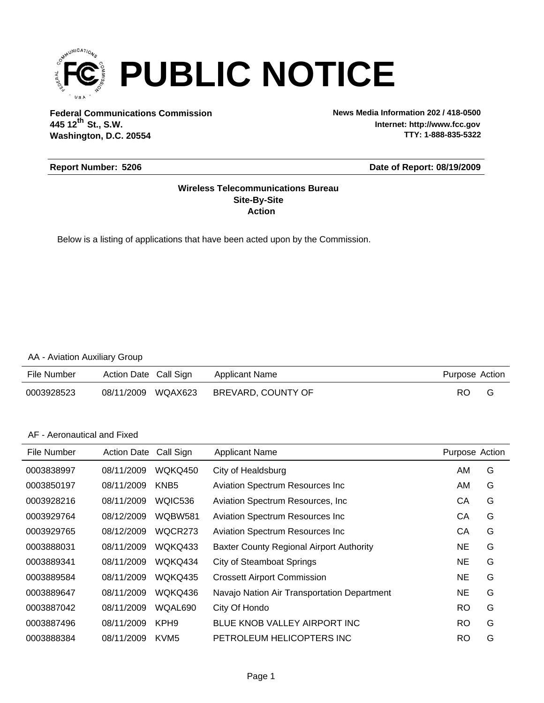

**Federal Communications Commission News Media Information 202 / 418-0500 Washington, D.C. 20554 th 445 12 St., S.W.**

**Internet: http://www.fcc.gov TTY: 1-888-835-5322**

#### **Report Number: 5206**

#### **Date of Report: 08/19/2009**

#### **Action Site-By-Site Wireless Telecommunications Bureau**

Below is a listing of applications that have been acted upon by the Commission.

#### AA - Aviation Auxiliary Group

| File Number | Action Date Call Sign |         | Applicant Name     | Purpose Action |  |
|-------------|-----------------------|---------|--------------------|----------------|--|
| 0003928523  | 08/11/2009            | WQAX623 | BREVARD, COUNTY OF | RO             |  |

#### AF - Aeronautical and Fixed

| File Number | <b>Action Date</b> | Call Sign        | <b>Applicant Name</b>                           | Purpose Action |   |
|-------------|--------------------|------------------|-------------------------------------------------|----------------|---|
| 0003838997  | 08/11/2009         | WQKQ450          | City of Healdsburg                              | AM             | G |
| 0003850197  | 08/11/2009         | KNB <sub>5</sub> | <b>Aviation Spectrum Resources Inc.</b>         | AM             | G |
| 0003928216  | 08/11/2009         | WQIC536          | Aviation Spectrum Resources, Inc.               | CА             | G |
| 0003929764  | 08/12/2009         | <b>WQBW581</b>   | <b>Aviation Spectrum Resources Inc.</b>         | СA             | G |
| 0003929765  | 08/12/2009         | WQCR273          | <b>Aviation Spectrum Resources Inc.</b>         | CА             | G |
| 0003888031  | 08/11/2009         | WQKQ433          | <b>Baxter County Regional Airport Authority</b> | NE             | G |
| 0003889341  | 08/11/2009         | WQKQ434          | <b>City of Steamboat Springs</b>                | NE             | G |
| 0003889584  | 08/11/2009         | WQKQ435          | <b>Crossett Airport Commission</b>              | NE             | G |
| 0003889647  | 08/11/2009         | WQKQ436          | Navajo Nation Air Transportation Department     | NE             | G |
| 0003887042  | 08/11/2009         | WQAL690          | City Of Hondo                                   | <b>RO</b>      | G |
| 0003887496  | 08/11/2009         | KPH <sub>9</sub> | BLUE KNOB VALLEY AIRPORT INC                    | <b>RO</b>      | G |
| 0003888384  | 08/11/2009         | KVM <sub>5</sub> | PETROLEUM HELICOPTERS INC                       | RO             | G |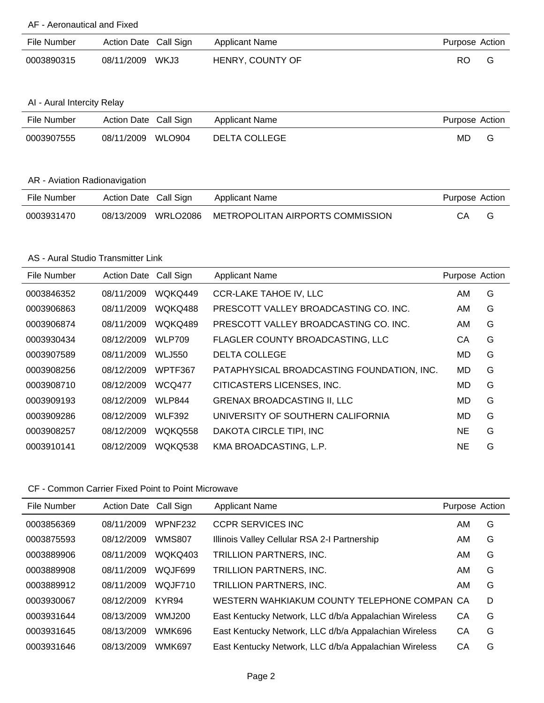### AF - Aeronautical and Fixed

| File Number | Action Date Call Sign | <b>Applicant Name</b> | Purpose Action |
|-------------|-----------------------|-----------------------|----------------|
| 0003890315  | 08/11/2009 WKJ3       | HENRY, COUNTY OF      | RO.            |

### AI - Aural Intercity Relay

| File Number | Action Date Call Sign | Applicant Name | Purpose Action |   |
|-------------|-----------------------|----------------|----------------|---|
| 0003907555  | WLO904<br>08/11/2009  | DELTA COLLEGE  | MD             | G |

#### AR - Aviation Radionavigation

| File Number | Action Date Call Sign |          | Applicant Name                   | Purpose Action |  |
|-------------|-----------------------|----------|----------------------------------|----------------|--|
| 0003931470  | 08/13/2009            | WRLO2086 | METROPOLITAN AIRPORTS COMMISSION | CА             |  |

#### AS - Aural Studio Transmitter Link

| File Number | <b>Action Date</b> | Call Sign      | <b>Applicant Name</b>                      | Purpose Action |   |
|-------------|--------------------|----------------|--------------------------------------------|----------------|---|
| 0003846352  | 08/11/2009         | WQKQ449        | <b>CCR-LAKE TAHOE IV, LLC</b>              | AM             | G |
| 0003906863  | 08/11/2009         | WQKQ488        | PRESCOTT VALLEY BROADCASTING CO. INC.      | AM             | G |
| 0003906874  | 08/11/2009         | WQKQ489        | PRESCOTT VALLEY BROADCASTING CO. INC.      | AM             | G |
| 0003930434  | 08/12/2009         | <b>WLP709</b>  | FLAGLER COUNTY BROADCASTING, LLC           | СA             | G |
| 0003907589  | 08/11/2009         | <b>WLJ550</b>  | <b>DELTA COLLEGE</b>                       | MD.            | G |
| 0003908256  | 08/12/2009         | WPTF367        | PATAPHYSICAL BROADCASTING FOUNDATION, INC. | MD.            | G |
| 0003908710  | 08/12/2009         | <b>WCQ477</b>  | CITICASTERS LICENSES, INC.                 | MD             | G |
| 0003909193  | 08/12/2009         | <b>WLP844</b>  | <b>GRENAX BROADCASTING II, LLC</b>         | MD.            | G |
| 0003909286  | 08/12/2009         | <b>WLF392</b>  | UNIVERSITY OF SOUTHERN CALIFORNIA          | MD.            | G |
| 0003908257  | 08/12/2009         | <b>WOKO558</b> | DAKOTA CIRCLE TIPI, INC                    | <b>NE</b>      | G |
| 0003910141  | 08/12/2009         | WQKQ538        | KMA BROADCASTING, L.P.                     | <b>NE</b>      | G |

| File Number | <b>Action Date</b> | Call Sign      | <b>Applicant Name</b>                                 | Purpose Action |   |
|-------------|--------------------|----------------|-------------------------------------------------------|----------------|---|
| 0003856369  | 08/11/2009         | <b>WPNF232</b> | <b>CCPR SERVICES INC</b>                              | AM             | G |
| 0003875593  | 08/12/2009         | <b>WMS807</b>  | Illinois Valley Cellular RSA 2-I Partnership          | AM             | G |
| 0003889906  | 08/11/2009         | WQKQ403        | TRILLION PARTNERS, INC.                               | AM             | G |
| 0003889908  | 08/11/2009         | WQJF699        | TRILLION PARTNERS, INC.                               | AM             | G |
| 0003889912  | 08/11/2009         | <b>WOJF710</b> | <b>TRILLION PARTNERS, INC.</b>                        | AM             | G |
| 0003930067  | 08/12/2009         | KYR94          | WESTERN WAHKIAKUM COUNTY TELEPHONE COMPAN CA          |                | D |
| 0003931644  | 08/13/2009         | WM.J200        | East Kentucky Network, LLC d/b/a Appalachian Wireless | СA             | G |
| 0003931645  | 08/13/2009         | WMK696         | East Kentucky Network, LLC d/b/a Appalachian Wireless | CA             | G |
| 0003931646  | 08/13/2009         | <b>WMK697</b>  | East Kentucky Network, LLC d/b/a Appalachian Wireless | CA             | G |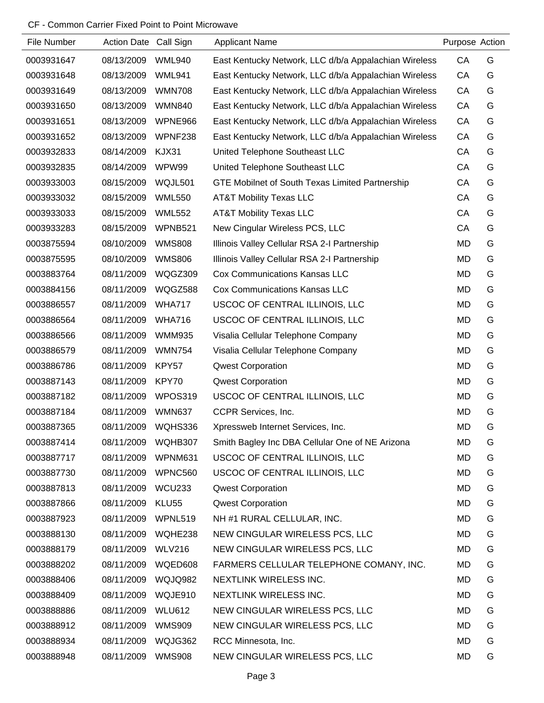| File Number | <b>Action Date</b> | Call Sign         | <b>Applicant Name</b>                                  | Purpose Action |   |
|-------------|--------------------|-------------------|--------------------------------------------------------|----------------|---|
| 0003931647  | 08/13/2009         | <b>WML940</b>     | East Kentucky Network, LLC d/b/a Appalachian Wireless  | CA             | G |
| 0003931648  | 08/13/2009         | <b>WML941</b>     | East Kentucky Network, LLC d/b/a Appalachian Wireless  | CA             | G |
| 0003931649  | 08/13/2009         | <b>WMN708</b>     | East Kentucky Network, LLC d/b/a Appalachian Wireless  | CA             | G |
| 0003931650  | 08/13/2009         | <b>WMN840</b>     | East Kentucky Network, LLC d/b/a Appalachian Wireless  | CA             | G |
| 0003931651  | 08/13/2009         | WPNE966           | East Kentucky Network, LLC d/b/a Appalachian Wireless  | CA             | G |
| 0003931652  | 08/13/2009         | WPNF238           | East Kentucky Network, LLC d/b/a Appalachian Wireless  | CA             | G |
| 0003932833  | 08/14/2009         | KJX31             | United Telephone Southeast LLC                         | CA             | G |
| 0003932835  | 08/14/2009         | WPW99             | United Telephone Southeast LLC                         | CA             | G |
| 0003933003  | 08/15/2009         | WQJL501           | <b>GTE Mobilnet of South Texas Limited Partnership</b> | CA             | G |
| 0003933032  | 08/15/2009         | <b>WML550</b>     | <b>AT&amp;T Mobility Texas LLC</b>                     | CA             | G |
| 0003933033  | 08/15/2009         | <b>WML552</b>     | <b>AT&amp;T Mobility Texas LLC</b>                     | CA             | G |
| 0003933283  | 08/15/2009         | WPNB521           | New Cingular Wireless PCS, LLC                         | CA             | G |
| 0003875594  | 08/10/2009         | <b>WMS808</b>     | Illinois Valley Cellular RSA 2-I Partnership           | MD             | G |
| 0003875595  | 08/10/2009         | <b>WMS806</b>     | Illinois Valley Cellular RSA 2-I Partnership           | MD             | G |
| 0003883764  | 08/11/2009         | WQGZ309           | <b>Cox Communications Kansas LLC</b>                   | <b>MD</b>      | G |
| 0003884156  | 08/11/2009         | WQGZ588           | <b>Cox Communications Kansas LLC</b>                   | MD             | G |
| 0003886557  | 08/11/2009         | <b>WHA717</b>     | USCOC OF CENTRAL ILLINOIS, LLC                         | MD             | G |
| 0003886564  | 08/11/2009         | <b>WHA716</b>     | USCOC OF CENTRAL ILLINOIS, LLC                         | MD             | G |
| 0003886566  | 08/11/2009         | <b>WMM935</b>     | Visalia Cellular Telephone Company                     | <b>MD</b>      | G |
| 0003886579  | 08/11/2009         | <b>WMN754</b>     | Visalia Cellular Telephone Company                     | MD             | G |
| 0003886786  | 08/11/2009         | KPY57             | <b>Qwest Corporation</b>                               | MD             | G |
| 0003887143  | 08/11/2009         | KPY70             | <b>Qwest Corporation</b>                               | MD             | G |
| 0003887182  | 08/11/2009         | WPOS319           | USCOC OF CENTRAL ILLINOIS, LLC                         | MD             | G |
| 0003887184  | 08/11/2009         | <b>WMN637</b>     | CCPR Services, Inc.                                    | MD             | G |
| 0003887365  | 08/11/2009 WQHS336 |                   | Xpressweb Internet Services, Inc.                      | MD             | G |
| 0003887414  | 08/11/2009         | WQHB307           | Smith Bagley Inc DBA Cellular One of NE Arizona        | MD             | G |
| 0003887717  | 08/11/2009         | WPNM631           | USCOC OF CENTRAL ILLINOIS, LLC                         | MD             | G |
| 0003887730  | 08/11/2009         | WPNC560           | USCOC OF CENTRAL ILLINOIS, LLC                         | MD             | G |
| 0003887813  | 08/11/2009         | WCU233            | <b>Qwest Corporation</b>                               | MD             | G |
| 0003887866  | 08/11/2009         | KLU <sub>55</sub> | <b>Qwest Corporation</b>                               | MD             | G |
| 0003887923  | 08/11/2009         | WPNL519           | NH #1 RURAL CELLULAR, INC.                             | MD             | G |
| 0003888130  | 08/11/2009         | WQHE238           | NEW CINGULAR WIRELESS PCS, LLC                         | MD             | G |
| 0003888179  | 08/11/2009         | <b>WLV216</b>     | NEW CINGULAR WIRELESS PCS, LLC                         | MD             | G |
| 0003888202  | 08/11/2009         | WQED608           | FARMERS CELLULAR TELEPHONE COMANY, INC.                | MD             | G |
| 0003888406  | 08/11/2009         | WQJQ982           | NEXTLINK WIRELESS INC.                                 | MD             | G |
| 0003888409  | 08/11/2009         | WQJE910           | NEXTLINK WIRELESS INC.                                 | MD             | G |
| 0003888886  | 08/11/2009         | <b>WLU612</b>     | NEW CINGULAR WIRELESS PCS, LLC                         | MD             | G |
| 0003888912  | 08/11/2009         | <b>WMS909</b>     | NEW CINGULAR WIRELESS PCS, LLC                         | MD             | G |
| 0003888934  | 08/11/2009         | WQJG362           | RCC Minnesota, Inc.                                    | MD             | G |
| 0003888948  | 08/11/2009         | <b>WMS908</b>     | NEW CINGULAR WIRELESS PCS, LLC                         | MD             | G |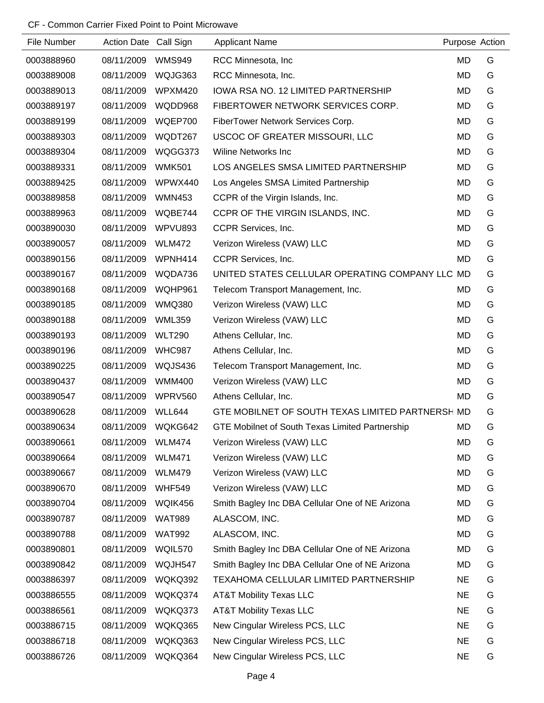| File Number | Action Date Call Sign |               | <b>Applicant Name</b>                            | Purpose Action |   |
|-------------|-----------------------|---------------|--------------------------------------------------|----------------|---|
| 0003888960  | 08/11/2009            | <b>WMS949</b> | RCC Minnesota, Inc.                              | MD             | G |
| 0003889008  | 08/11/2009            | WQJG363       | RCC Minnesota, Inc.                              | MD             | G |
| 0003889013  | 08/11/2009            | WPXM420       | <b>IOWA RSA NO. 12 LIMITED PARTNERSHIP</b>       | MD             | G |
| 0003889197  | 08/11/2009            | WQDD968       | FIBERTOWER NETWORK SERVICES CORP.                | MD             | G |
| 0003889199  | 08/11/2009            | WQEP700       | FiberTower Network Services Corp.                | MD             | G |
| 0003889303  | 08/11/2009            | WQDT267       | USCOC OF GREATER MISSOURI, LLC                   | MD             | G |
| 0003889304  | 08/11/2009            | WQGG373       | <b>Wiline Networks Inc.</b>                      | MD             | G |
| 0003889331  | 08/11/2009            | <b>WMK501</b> | LOS ANGELES SMSA LIMITED PARTNERSHIP             | MD             | G |
| 0003889425  | 08/11/2009            | WPWX440       | Los Angeles SMSA Limited Partnership             | MD             | G |
| 0003889858  | 08/11/2009            | <b>WMN453</b> | CCPR of the Virgin Islands, Inc.                 | MD             | G |
| 0003889963  | 08/11/2009            | WQBE744       | CCPR OF THE VIRGIN ISLANDS, INC.                 | MD             | G |
| 0003890030  | 08/11/2009            | WPVU893       | CCPR Services, Inc.                              | MD             | G |
| 0003890057  | 08/11/2009            | <b>WLM472</b> | Verizon Wireless (VAW) LLC                       | MD             | G |
| 0003890156  | 08/11/2009            | WPNH414       | CCPR Services, Inc.                              | MD             | G |
| 0003890167  | 08/11/2009            | WQDA736       | UNITED STATES CELLULAR OPERATING COMPANY LLC MD  |                | G |
| 0003890168  | 08/11/2009            | WQHP961       | Telecom Transport Management, Inc.               | MD             | G |
| 0003890185  | 08/11/2009            | <b>WMQ380</b> | Verizon Wireless (VAW) LLC                       | MD             | G |
| 0003890188  | 08/11/2009            | <b>WML359</b> | Verizon Wireless (VAW) LLC                       | MD             | G |
| 0003890193  | 08/11/2009            | <b>WLT290</b> | Athens Cellular, Inc.                            | MD             | G |
| 0003890196  | 08/11/2009            | <b>WHC987</b> | Athens Cellular, Inc.                            | MD             | G |
| 0003890225  | 08/11/2009            | WQJS436       | Telecom Transport Management, Inc.               | MD             | G |
| 0003890437  | 08/11/2009            | <b>WMM400</b> | Verizon Wireless (VAW) LLC                       | MD             | G |
| 0003890547  | 08/11/2009            | WPRV560       | Athens Cellular, Inc.                            | MD             | G |
| 0003890628  | 08/11/2009            | WLL644        | GTE MOBILNET OF SOUTH TEXAS LIMITED PARTNERSH MD |                | G |
| 0003890634  | 08/11/2009            | WQKG642       | GTE Mobilnet of South Texas Limited Partnership  | MD             | G |
| 0003890661  | 08/11/2009            | WLM474        | Verizon Wireless (VAW) LLC                       | MD             | G |
| 0003890664  | 08/11/2009            | <b>WLM471</b> | Verizon Wireless (VAW) LLC                       | MD             | G |
| 0003890667  | 08/11/2009            | <b>WLM479</b> | Verizon Wireless (VAW) LLC                       | MD             | G |
| 0003890670  | 08/11/2009            | <b>WHF549</b> | Verizon Wireless (VAW) LLC                       | MD             | G |
| 0003890704  | 08/11/2009            | WQIK456       | Smith Bagley Inc DBA Cellular One of NE Arizona  | <b>MD</b>      | G |
| 0003890787  | 08/11/2009            | <b>WAT989</b> | ALASCOM, INC.                                    | MD             | G |
| 0003890788  | 08/11/2009            | <b>WAT992</b> | ALASCOM, INC.                                    | MD             | G |
| 0003890801  | 08/11/2009            | WQIL570       | Smith Bagley Inc DBA Cellular One of NE Arizona  | <b>MD</b>      | G |
| 0003890842  | 08/11/2009            | WQJH547       | Smith Bagley Inc DBA Cellular One of NE Arizona  | MD             | G |
| 0003886397  | 08/11/2009            | WQKQ392       | TEXAHOMA CELLULAR LIMITED PARTNERSHIP            | <b>NE</b>      | G |
| 0003886555  | 08/11/2009            | WQKQ374       | <b>AT&amp;T Mobility Texas LLC</b>               | <b>NE</b>      | G |
| 0003886561  | 08/11/2009            | WQKQ373       | <b>AT&amp;T Mobility Texas LLC</b>               | <b>NE</b>      | G |
| 0003886715  | 08/11/2009            | WQKQ365       | New Cingular Wireless PCS, LLC                   | <b>NE</b>      | G |
| 0003886718  | 08/11/2009            | WQKQ363       | New Cingular Wireless PCS, LLC                   | <b>NE</b>      | G |
| 0003886726  | 08/11/2009            | WQKQ364       | New Cingular Wireless PCS, LLC                   | <b>NE</b>      | G |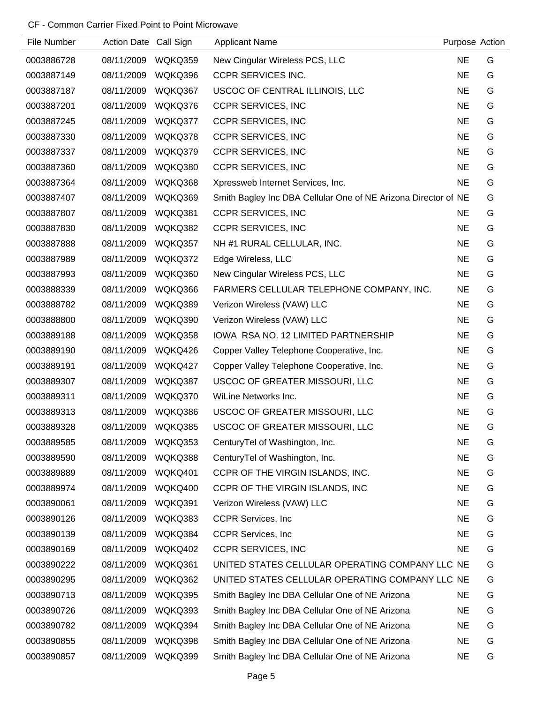| File Number | Action Date Call Sign |         | <b>Applicant Name</b>                                          | Purpose Action |   |
|-------------|-----------------------|---------|----------------------------------------------------------------|----------------|---|
| 0003886728  | 08/11/2009            | WQKQ359 | New Cingular Wireless PCS, LLC                                 | <b>NE</b>      | G |
| 0003887149  | 08/11/2009            | WQKQ396 | <b>CCPR SERVICES INC.</b>                                      | <b>NE</b>      | G |
| 0003887187  | 08/11/2009            | WQKQ367 | USCOC OF CENTRAL ILLINOIS, LLC                                 | <b>NE</b>      | G |
| 0003887201  | 08/11/2009            | WQKQ376 | <b>CCPR SERVICES, INC</b>                                      | <b>NE</b>      | G |
| 0003887245  | 08/11/2009            | WQKQ377 | <b>CCPR SERVICES, INC</b>                                      | <b>NE</b>      | G |
| 0003887330  | 08/11/2009            | WQKQ378 | <b>CCPR SERVICES, INC</b>                                      | <b>NE</b>      | G |
| 0003887337  | 08/11/2009            | WQKQ379 | <b>CCPR SERVICES, INC</b>                                      | <b>NE</b>      | G |
| 0003887360  | 08/11/2009            | WQKQ380 | <b>CCPR SERVICES, INC</b>                                      | <b>NE</b>      | G |
| 0003887364  | 08/11/2009            | WQKQ368 | Xpressweb Internet Services, Inc.                              | <b>NE</b>      | G |
| 0003887407  | 08/11/2009            | WQKQ369 | Smith Bagley Inc DBA Cellular One of NE Arizona Director of NE |                | G |
| 0003887807  | 08/11/2009            | WQKQ381 | <b>CCPR SERVICES, INC</b>                                      | <b>NE</b>      | G |
| 0003887830  | 08/11/2009            | WQKQ382 | <b>CCPR SERVICES, INC</b>                                      | <b>NE</b>      | G |
| 0003887888  | 08/11/2009            | WQKQ357 | NH #1 RURAL CELLULAR, INC.                                     | <b>NE</b>      | G |
| 0003887989  | 08/11/2009            | WQKQ372 | Edge Wireless, LLC                                             | <b>NE</b>      | G |
| 0003887993  | 08/11/2009            | WQKQ360 | New Cingular Wireless PCS, LLC                                 | <b>NE</b>      | G |
| 0003888339  | 08/11/2009            | WQKQ366 | FARMERS CELLULAR TELEPHONE COMPANY, INC.                       | <b>NE</b>      | G |
| 0003888782  | 08/11/2009            | WQKQ389 | Verizon Wireless (VAW) LLC                                     | <b>NE</b>      | G |
| 0003888800  | 08/11/2009            | WQKQ390 | Verizon Wireless (VAW) LLC                                     | <b>NE</b>      | G |
| 0003889188  | 08/11/2009            | WQKQ358 | IOWA RSA NO. 12 LIMITED PARTNERSHIP                            | <b>NE</b>      | G |
| 0003889190  | 08/11/2009            | WQKQ426 | Copper Valley Telephone Cooperative, Inc.                      | <b>NE</b>      | G |
| 0003889191  | 08/11/2009            | WQKQ427 | Copper Valley Telephone Cooperative, Inc.                      | <b>NE</b>      | G |
| 0003889307  | 08/11/2009            | WQKQ387 | USCOC OF GREATER MISSOURI, LLC                                 | <b>NE</b>      | G |
| 0003889311  | 08/11/2009            | WQKQ370 | WiLine Networks Inc.                                           | <b>NE</b>      | G |
| 0003889313  | 08/11/2009            | WQKQ386 | USCOC OF GREATER MISSOURI, LLC                                 | <b>NE</b>      | G |
| 0003889328  | 08/11/2009            | WQKQ385 | USCOC OF GREATER MISSOURI, LLC                                 | <b>NE</b>      | G |
| 0003889585  | 08/11/2009            | WQKQ353 | CenturyTel of Washington, Inc.                                 | <b>NE</b>      | G |
| 0003889590  | 08/11/2009            | WQKQ388 | CenturyTel of Washington, Inc.                                 | <b>NE</b>      | G |
| 0003889889  | 08/11/2009            | WQKQ401 | CCPR OF THE VIRGIN ISLANDS, INC.                               | <b>NE</b>      | G |
| 0003889974  | 08/11/2009            | WQKQ400 | CCPR OF THE VIRGIN ISLANDS, INC                                | NE             | G |
| 0003890061  | 08/11/2009            | WQKQ391 | Verizon Wireless (VAW) LLC                                     | <b>NE</b>      | G |
| 0003890126  | 08/11/2009            | WQKQ383 | <b>CCPR Services, Inc.</b>                                     | <b>NE</b>      | G |
| 0003890139  | 08/11/2009            | WQKQ384 | <b>CCPR Services, Inc.</b>                                     | <b>NE</b>      | G |
| 0003890169  | 08/11/2009            | WQKQ402 | <b>CCPR SERVICES, INC</b>                                      | <b>NE</b>      | G |
| 0003890222  | 08/11/2009            | WQKQ361 | UNITED STATES CELLULAR OPERATING COMPANY LLC NE                |                | G |
| 0003890295  | 08/11/2009            | WQKQ362 | UNITED STATES CELLULAR OPERATING COMPANY LLC NE                |                | G |
| 0003890713  | 08/11/2009            | WQKQ395 | Smith Bagley Inc DBA Cellular One of NE Arizona                | NE             | G |
| 0003890726  | 08/11/2009            | WQKQ393 | Smith Bagley Inc DBA Cellular One of NE Arizona                | <b>NE</b>      | G |
| 0003890782  | 08/11/2009            | WQKQ394 | Smith Bagley Inc DBA Cellular One of NE Arizona                | NE             | G |
| 0003890855  | 08/11/2009            | WQKQ398 | Smith Bagley Inc DBA Cellular One of NE Arizona                | NE             | G |
| 0003890857  | 08/11/2009            | WQKQ399 | Smith Bagley Inc DBA Cellular One of NE Arizona                | <b>NE</b>      | G |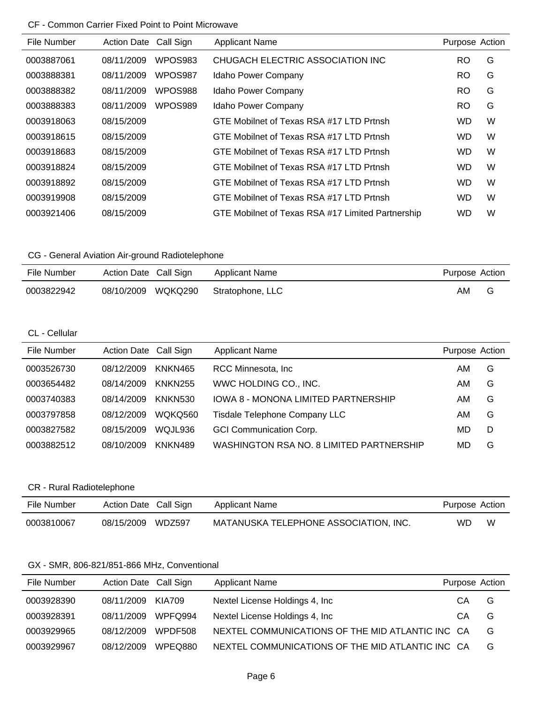| File Number | <b>Action Date</b> | Call Sign | <b>Applicant Name</b>                             | Purpose Action |   |
|-------------|--------------------|-----------|---------------------------------------------------|----------------|---|
| 0003887061  | 08/11/2009         | WPOS983   | CHUGACH ELECTRIC ASSOCIATION INC                  | RO.            | G |
| 0003888381  | 08/11/2009         | WPOS987   | Idaho Power Company                               | RO.            | G |
| 0003888382  | 08/11/2009         | WPOS988   | Idaho Power Company                               | <b>RO</b>      | G |
| 0003888383  | 08/11/2009         | WPOS989   | Idaho Power Company                               | RO.            | G |
| 0003918063  | 08/15/2009         |           | GTE Mobilnet of Texas RSA #17 LTD Prtnsh          | <b>WD</b>      | W |
| 0003918615  | 08/15/2009         |           | GTE Mobilnet of Texas RSA #17 LTD Prtnsh          | <b>WD</b>      | W |
| 0003918683  | 08/15/2009         |           | GTE Mobilnet of Texas RSA #17 LTD Prtnsh          | <b>WD</b>      | W |
| 0003918824  | 08/15/2009         |           | GTE Mobilnet of Texas RSA #17 LTD Prtnsh          | <b>WD</b>      | W |
| 0003918892  | 08/15/2009         |           | GTE Mobilnet of Texas RSA #17 LTD Prtnsh          | <b>WD</b>      | W |
| 0003919908  | 08/15/2009         |           | GTE Mobilnet of Texas RSA #17 LTD Prtnsh          | <b>WD</b>      | W |
| 0003921406  | 08/15/2009         |           | GTE Mobilnet of Texas RSA #17 Limited Partnership | <b>WD</b>      | W |

# CG - General Aviation Air-ground Radiotelephone

| File Number | Action Date Call Sign | Applicant Name   | Purpose Action |  |
|-------------|-----------------------|------------------|----------------|--|
| 0003822942  | 08/10/2009 WQKQ290    | Stratophone, LLC | AM             |  |

# CL - Cellular

| File Number | Action Date Call Sign |                | <b>Applicant Name</b>                    | Purpose Action |   |
|-------------|-----------------------|----------------|------------------------------------------|----------------|---|
| 0003526730  | 08/12/2009            | KNKN465        | RCC Minnesota, Inc.                      | AM             | G |
| 0003654482  | 08/14/2009            | <b>KNKN255</b> | WWC HOLDING CO., INC.                    | AM             | G |
| 0003740383  | 08/14/2009            | <b>KNKN530</b> | IOWA 8 - MONONA LIMITED PARTNERSHIP      | AM             | G |
| 0003797858  | 08/12/2009            | WOKO560        | <b>Tisdale Telephone Company LLC</b>     | AM             | G |
| 0003827582  | 08/15/2009            | WOJL936        | <b>GCI Communication Corp.</b>           | MD             | D |
| 0003882512  | 08/10/2009            | KNKN489        | WASHINGTON RSA NO. 8 LIMITED PARTNERSHIP | MD             | G |

## CR - Rural Radiotelephone

| File Number | Action Date Call Sign | Applicant Name                        | Purpose Action |   |
|-------------|-----------------------|---------------------------------------|----------------|---|
| 0003810067  | 08/15/2009 WDZ597     | MATANUSKA TELEPHONE ASSOCIATION, INC. | WD.            | W |

# GX - SMR, 806-821/851-866 MHz, Conventional

| File Number | Action Date Call Sign |         | <b>Applicant Name</b>                            | Purpose Action |   |
|-------------|-----------------------|---------|--------------------------------------------------|----------------|---|
| 0003928390  | 08/11/2009            | KIA709  | Nextel License Holdings 4, Inc.                  | CA             | G |
| 0003928391  | 08/11/2009            | WPFO994 | Nextel License Holdings 4, Inc.                  | CA             | G |
| 0003929965  | 08/12/2009            | WPDF508 | NEXTEL COMMUNICATIONS OF THE MID ATLANTIC INC CA |                | G |
| 0003929967  | 08/12/2009            | WPEO880 | NEXTEL COMMUNICATIONS OF THE MID ATLANTIC INC CA |                | G |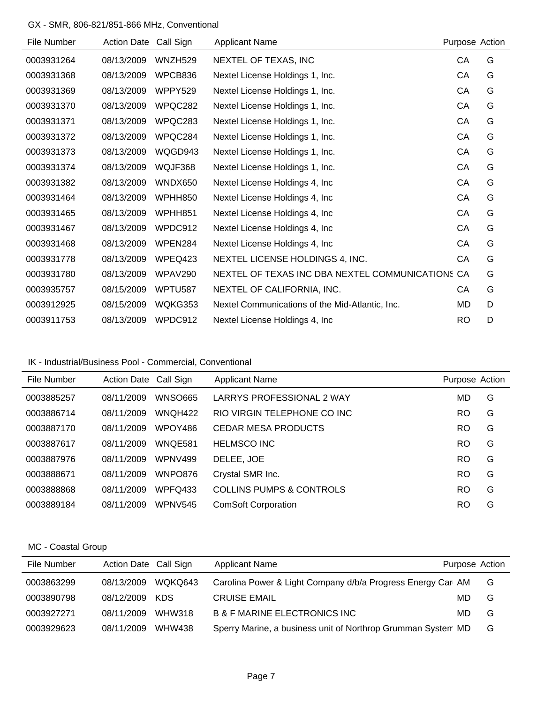# GX - SMR, 806-821/851-866 MHz, Conventional

| File Number | <b>Action Date</b> | Call Sign      | <b>Applicant Name</b>                            | Purpose Action |   |
|-------------|--------------------|----------------|--------------------------------------------------|----------------|---|
| 0003931264  | 08/13/2009         | WNZH529        | NEXTEL OF TEXAS, INC                             | CA             | G |
| 0003931368  | 08/13/2009         | WPCB836        | Nextel License Holdings 1, Inc.                  | CA             | G |
| 0003931369  | 08/13/2009         | <b>WPPY529</b> | Nextel License Holdings 1, Inc.                  | CA             | G |
| 0003931370  | 08/13/2009         | WPQC282        | Nextel License Holdings 1, Inc.                  | CA             | G |
| 0003931371  | 08/13/2009         | WPQC283        | Nextel License Holdings 1, Inc.                  | CA             | G |
| 0003931372  | 08/13/2009         | WPQC284        | Nextel License Holdings 1, Inc.                  | CA             | G |
| 0003931373  | 08/13/2009         | WQGD943        | Nextel License Holdings 1, Inc.                  | CA             | G |
| 0003931374  | 08/13/2009         | WQJF368        | Nextel License Holdings 1, Inc.                  | CA             | G |
| 0003931382  | 08/13/2009         | WNDX650        | Nextel License Holdings 4, Inc.                  | CA             | G |
| 0003931464  | 08/13/2009         | WPHH850        | Nextel License Holdings 4, Inc.                  | CA             | G |
| 0003931465  | 08/13/2009         | WPHH851        | Nextel License Holdings 4, Inc.                  | CA             | G |
| 0003931467  | 08/13/2009         | WPDC912        | Nextel License Holdings 4, Inc.                  | CA             | G |
| 0003931468  | 08/13/2009         | WPEN284        | Nextel License Holdings 4, Inc.                  | CA             | G |
| 0003931778  | 08/13/2009         | WPEQ423        | NEXTEL LICENSE HOLDINGS 4, INC.                  | CA             | G |
| 0003931780  | 08/13/2009         | WPAV290        | NEXTEL OF TEXAS INC DBA NEXTEL COMMUNICATIONS CA |                | G |
| 0003935757  | 08/15/2009         | WPTU587        | NEXTEL OF CALIFORNIA, INC.                       | CA             | G |
| 0003912925  | 08/15/2009         | WQKG353        | Nextel Communications of the Mid-Atlantic, Inc.  | MD             | D |
| 0003911753  | 08/13/2009         | WPDC912        | Nextel License Holdings 4, Inc.                  | <b>RO</b>      | D |

# IK - Industrial/Business Pool - Commercial, Conventional

| File Number | Action Date Call Sign |                | <b>Applicant Name</b>               | Purpose Action |   |
|-------------|-----------------------|----------------|-------------------------------------|----------------|---|
| 0003885257  | 08/11/2009            | WNSO665        | LARRYS PROFESSIONAL 2 WAY           | MD             | G |
| 0003886714  | 08/11/2009            | WNQH422        | RIO VIRGIN TELEPHONE CO INC         | RO             | G |
| 0003887170  | 08/11/2009            | WPOY486        | CEDAR MESA PRODUCTS                 | <b>RO</b>      | G |
| 0003887617  | 08/11/2009            | WNQE581        | <b>HELMSCO INC</b>                  | <b>RO</b>      | G |
| 0003887976  | 08/11/2009            | WPNV499        | DELEE, JOE                          | RO             | G |
| 0003888671  | 08/11/2009            | WNPO876        | Crystal SMR Inc.                    | <b>RO</b>      | G |
| 0003888868  | 08/11/2009            | WPFQ433        | <b>COLLINS PUMPS &amp; CONTROLS</b> | <b>RO</b>      | G |
| 0003889184  | 08/11/2009            | <b>WPNV545</b> | <b>ComSoft Corporation</b>          | RO             | G |

## MC - Coastal Group

| File Number | Action Date Call Sign |               | <b>Applicant Name</b>                                        | Purpose Action |   |
|-------------|-----------------------|---------------|--------------------------------------------------------------|----------------|---|
| 0003863299  | 08/13/2009            | WQKQ643       | Carolina Power & Light Company d/b/a Progress Energy Car AM  |                | G |
| 0003890798  | 08/12/2009 KDS        |               | <b>CRUISE EMAIL</b>                                          | MD.            | G |
| 0003927271  | 08/11/2009            | <b>WHW318</b> | <b>B &amp; F MARINE ELECTRONICS INC</b>                      | MD.            | G |
| 0003929623  | 08/11/2009            | WHW438        | Sperry Marine, a business unit of Northrop Grumman System MD |                | G |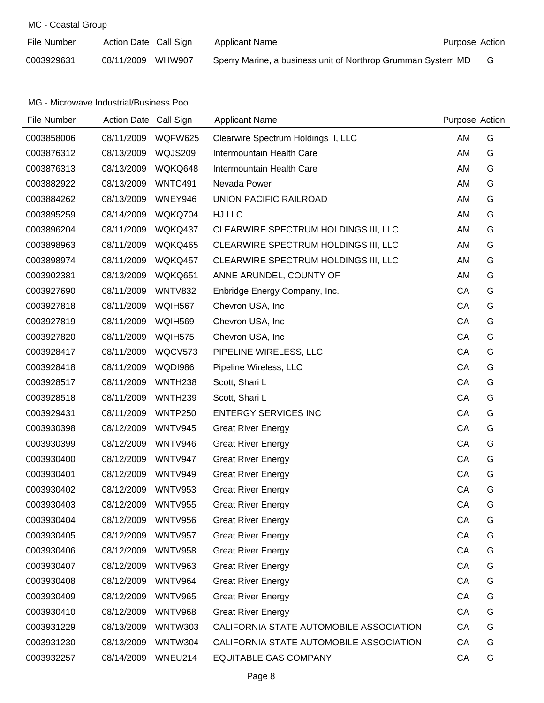# MC - Coastal Group

| File Number | Action Date Call Sign | Applicant Name<br>Purpose Action                             |  |
|-------------|-----------------------|--------------------------------------------------------------|--|
| 0003929631  | 08/11/2009 WHW907     | Sperry Marine, a business unit of Northrop Grumman System MD |  |

| File Number | Action Date Call Sign |                     | <b>Applicant Name</b>                   | Purpose Action |   |
|-------------|-----------------------|---------------------|-----------------------------------------|----------------|---|
| 0003858006  | 08/11/2009            | WQFW625             | Clearwire Spectrum Holdings II, LLC     | AM             | G |
| 0003876312  | 08/13/2009            | WQJS209             | Intermountain Health Care               | AM             | G |
| 0003876313  | 08/13/2009            | WQKQ648             | Intermountain Health Care               | AM             | G |
| 0003882922  | 08/13/2009            | WNTC491             | Nevada Power                            | AM             | G |
| 0003884262  | 08/13/2009            | WNEY946             | UNION PACIFIC RAILROAD                  | AM             | G |
| 0003895259  | 08/14/2009            | WQKQ704             | HJ LLC                                  | AM             | G |
| 0003896204  | 08/11/2009            | WQKQ437             | CLEARWIRE SPECTRUM HOLDINGS III, LLC    | AM             | G |
| 0003898963  | 08/11/2009            | WQKQ465             | CLEARWIRE SPECTRUM HOLDINGS III, LLC    | AM             | G |
| 0003898974  | 08/11/2009            | WQKQ457             | CLEARWIRE SPECTRUM HOLDINGS III, LLC    | AM             | G |
| 0003902381  | 08/13/2009            | WQKQ651             | ANNE ARUNDEL, COUNTY OF                 | AM             | G |
| 0003927690  | 08/11/2009            | WNTV832             | Enbridge Energy Company, Inc.           | CA             | G |
| 0003927818  | 08/11/2009            | <b>WQIH567</b>      | Chevron USA, Inc.                       | CA             | G |
| 0003927819  | 08/11/2009            | WQIH569             | Chevron USA, Inc.                       | CA             | G |
| 0003927820  | 08/11/2009            | WQIH575             | Chevron USA, Inc.                       | CA             | G |
| 0003928417  | 08/11/2009            | WQCV573             | PIPELINE WIRELESS, LLC                  | CA             | G |
| 0003928418  | 08/11/2009            | <b>WQDI986</b>      | Pipeline Wireless, LLC                  | CA             | G |
| 0003928517  | 08/11/2009            | WNTH <sub>238</sub> | Scott, Shari L                          | CA             | G |
| 0003928518  | 08/11/2009            | WNTH <sub>239</sub> | Scott, Shari L                          | CA             | G |
| 0003929431  | 08/11/2009            | <b>WNTP250</b>      | <b>ENTERGY SERVICES INC</b>             | CA             | G |
| 0003930398  | 08/12/2009            | WNTV945             | <b>Great River Energy</b>               | CA             | G |
| 0003930399  | 08/12/2009            | WNTV946             | <b>Great River Energy</b>               | CA             | G |
| 0003930400  | 08/12/2009            | WNTV947             | <b>Great River Energy</b>               | CA             | G |
| 0003930401  | 08/12/2009            | <b>WNTV949</b>      | <b>Great River Energy</b>               | CA             | G |
| 0003930402  | 08/12/2009            | <b>WNTV953</b>      | <b>Great River Energy</b>               | CA             | G |
| 0003930403  | 08/12/2009            | <b>WNTV955</b>      | <b>Great River Energy</b>               | CA             | G |
| 0003930404  | 08/12/2009            | <b>WNTV956</b>      | <b>Great River Energy</b>               | CA             | G |
| 0003930405  | 08/12/2009            | <b>WNTV957</b>      | <b>Great River Energy</b>               | CA             | G |
| 0003930406  | 08/12/2009            | <b>WNTV958</b>      | <b>Great River Energy</b>               | CA             | G |
| 0003930407  | 08/12/2009            | <b>WNTV963</b>      | <b>Great River Energy</b>               | CA             | G |
| 0003930408  | 08/12/2009            | WNTV964             | <b>Great River Energy</b>               | CA             | G |
| 0003930409  | 08/12/2009            | <b>WNTV965</b>      | <b>Great River Energy</b>               | CA             | G |
| 0003930410  | 08/12/2009            | <b>WNTV968</b>      | <b>Great River Energy</b>               | CA             | G |
| 0003931229  | 08/13/2009            | <b>WNTW303</b>      | CALIFORNIA STATE AUTOMOBILE ASSOCIATION | CA             | G |
| 0003931230  | 08/13/2009            | <b>WNTW304</b>      | CALIFORNIA STATE AUTOMOBILE ASSOCIATION | CA             | G |
| 0003932257  | 08/14/2009            | WNEU214             | <b>EQUITABLE GAS COMPANY</b>            | CA             | G |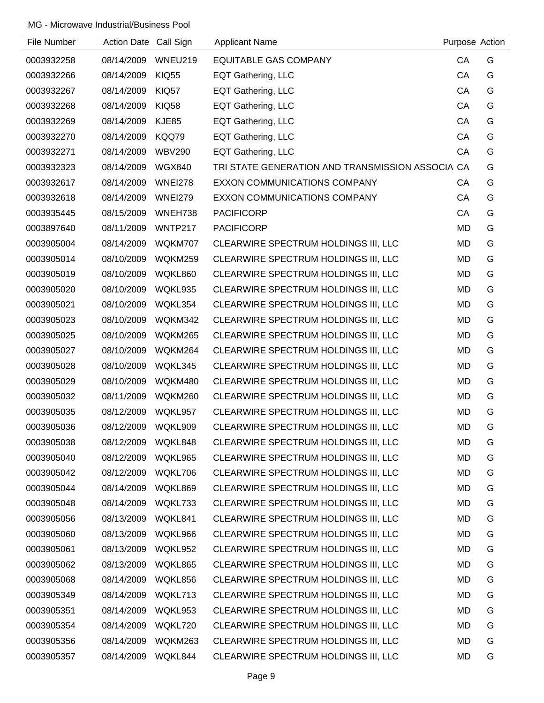| File Number | Action Date Call Sign |                | <b>Applicant Name</b>                            | Purpose Action |   |
|-------------|-----------------------|----------------|--------------------------------------------------|----------------|---|
| 0003932258  | 08/14/2009            | WNEU219        | <b>EQUITABLE GAS COMPANY</b>                     | CA             | G |
| 0003932266  | 08/14/2009            | <b>KIQ55</b>   | EQT Gathering, LLC                               | CA             | G |
| 0003932267  | 08/14/2009            | KIQ57          | EQT Gathering, LLC                               | CA             | G |
| 0003932268  | 08/14/2009            | <b>KIQ58</b>   | EQT Gathering, LLC                               | CA             | G |
| 0003932269  | 08/14/2009            | <b>KJE85</b>   | <b>EQT Gathering, LLC</b>                        | CA             | G |
| 0003932270  | 08/14/2009            | KQQ79          | EQT Gathering, LLC                               | CA             | G |
| 0003932271  | 08/14/2009            | <b>WBV290</b>  | <b>EQT Gathering, LLC</b>                        | CA             | G |
| 0003932323  | 08/14/2009            | <b>WGX840</b>  | TRI STATE GENERATION AND TRANSMISSION ASSOCIA CA |                | G |
| 0003932617  | 08/14/2009            | <b>WNEI278</b> | <b>EXXON COMMUNICATIONS COMPANY</b>              | CA             | G |
| 0003932618  | 08/14/2009            | <b>WNEI279</b> | EXXON COMMUNICATIONS COMPANY                     | CA             | G |
| 0003935445  | 08/15/2009            | WNEH738        | <b>PACIFICORP</b>                                | CA             | G |
| 0003897640  | 08/11/2009            | WNTP217        | <b>PACIFICORP</b>                                | <b>MD</b>      | G |
| 0003905004  | 08/14/2009            | WQKM707        | CLEARWIRE SPECTRUM HOLDINGS III, LLC             | <b>MD</b>      | G |
| 0003905014  | 08/10/2009            | WQKM259        | CLEARWIRE SPECTRUM HOLDINGS III, LLC             | MD             | G |
| 0003905019  | 08/10/2009            | WQKL860        | CLEARWIRE SPECTRUM HOLDINGS III, LLC             | <b>MD</b>      | G |
| 0003905020  | 08/10/2009            | WQKL935        | CLEARWIRE SPECTRUM HOLDINGS III, LLC             | <b>MD</b>      | G |
| 0003905021  | 08/10/2009            | WQKL354        | CLEARWIRE SPECTRUM HOLDINGS III, LLC             | MD             | G |
| 0003905023  | 08/10/2009            | WQKM342        | CLEARWIRE SPECTRUM HOLDINGS III, LLC             | MD             | G |
| 0003905025  | 08/10/2009            | WQKM265        | CLEARWIRE SPECTRUM HOLDINGS III, LLC             | MD             | G |
| 0003905027  | 08/10/2009            | WQKM264        | CLEARWIRE SPECTRUM HOLDINGS III, LLC             | <b>MD</b>      | G |
| 0003905028  | 08/10/2009            | WQKL345        | CLEARWIRE SPECTRUM HOLDINGS III, LLC             | <b>MD</b>      | G |
| 0003905029  | 08/10/2009            | WQKM480        | CLEARWIRE SPECTRUM HOLDINGS III, LLC             | MD             | G |
| 0003905032  | 08/11/2009            | WQKM260        | CLEARWIRE SPECTRUM HOLDINGS III, LLC             | <b>MD</b>      | G |
| 0003905035  | 08/12/2009            | WQKL957        | CLEARWIRE SPECTRUM HOLDINGS III, LLC             | <b>MD</b>      | G |
| 0003905036  | 08/12/2009            | WQKL909        | CLEARWIRE SPECTRUM HOLDINGS III, LLC             | <b>MD</b>      | G |
| 0003905038  | 08/12/2009            | WQKL848        | CLEARWIRE SPECTRUM HOLDINGS III, LLC             | <b>MD</b>      | G |
| 0003905040  | 08/12/2009            | WQKL965        | CLEARWIRE SPECTRUM HOLDINGS III, LLC             | <b>MD</b>      | G |
| 0003905042  | 08/12/2009            | WQKL706        | CLEARWIRE SPECTRUM HOLDINGS III, LLC             | MD             | G |
| 0003905044  | 08/14/2009            | WQKL869        | CLEARWIRE SPECTRUM HOLDINGS III, LLC             | MD             | G |
| 0003905048  | 08/14/2009            | WQKL733        | CLEARWIRE SPECTRUM HOLDINGS III, LLC             | MD             | G |
| 0003905056  | 08/13/2009            | WQKL841        | CLEARWIRE SPECTRUM HOLDINGS III, LLC             | <b>MD</b>      | G |
| 0003905060  | 08/13/2009            | WQKL966        | CLEARWIRE SPECTRUM HOLDINGS III, LLC             | MD             | G |
| 0003905061  | 08/13/2009            | WQKL952        | CLEARWIRE SPECTRUM HOLDINGS III, LLC             | MD             | G |
| 0003905062  | 08/13/2009            | WQKL865        | CLEARWIRE SPECTRUM HOLDINGS III, LLC             | <b>MD</b>      | G |
| 0003905068  | 08/14/2009            | WQKL856        | CLEARWIRE SPECTRUM HOLDINGS III, LLC             | MD             | G |
| 0003905349  | 08/14/2009            | WQKL713        | CLEARWIRE SPECTRUM HOLDINGS III, LLC             | <b>MD</b>      | G |
| 0003905351  | 08/14/2009            | WQKL953        | CLEARWIRE SPECTRUM HOLDINGS III, LLC             | MD             | G |
| 0003905354  | 08/14/2009            | WQKL720        | CLEARWIRE SPECTRUM HOLDINGS III, LLC             | MD             | G |
| 0003905356  | 08/14/2009            | WQKM263        | CLEARWIRE SPECTRUM HOLDINGS III, LLC             | MD             | G |
| 0003905357  | 08/14/2009            | WQKL844        | CLEARWIRE SPECTRUM HOLDINGS III, LLC             | <b>MD</b>      | G |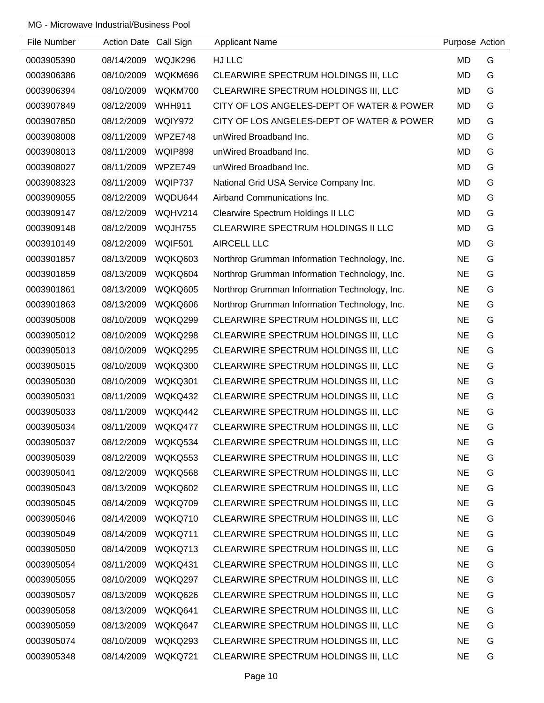| File Number | Action Date Call Sign |               | <b>Applicant Name</b>                         | Purpose Action |   |
|-------------|-----------------------|---------------|-----------------------------------------------|----------------|---|
| 0003905390  | 08/14/2009            | WQJK296       | HJ LLC                                        | <b>MD</b>      | G |
| 0003906386  | 08/10/2009            | WQKM696       | CLEARWIRE SPECTRUM HOLDINGS III, LLC          | <b>MD</b>      | G |
| 0003906394  | 08/10/2009            | WQKM700       | CLEARWIRE SPECTRUM HOLDINGS III, LLC          | <b>MD</b>      | G |
| 0003907849  | 08/12/2009            | <b>WHH911</b> | CITY OF LOS ANGELES-DEPT OF WATER & POWER     | <b>MD</b>      | G |
| 0003907850  | 08/12/2009            | WQIY972       | CITY OF LOS ANGELES-DEPT OF WATER & POWER     | <b>MD</b>      | G |
| 0003908008  | 08/11/2009            | WPZE748       | unWired Broadband Inc.                        | <b>MD</b>      | G |
| 0003908013  | 08/11/2009            | WQIP898       | unWired Broadband Inc.                        | <b>MD</b>      | G |
| 0003908027  | 08/11/2009            | WPZE749       | unWired Broadband Inc.                        | <b>MD</b>      | G |
| 0003908323  | 08/11/2009            | WQIP737       | National Grid USA Service Company Inc.        | <b>MD</b>      | G |
| 0003909055  | 08/12/2009            | WQDU644       | Airband Communications Inc.                   | MD             | G |
| 0003909147  | 08/12/2009            | WQHV214       | Clearwire Spectrum Holdings II LLC            | <b>MD</b>      | G |
| 0003909148  | 08/12/2009            | WQJH755       | CLEARWIRE SPECTRUM HOLDINGS II LLC            | <b>MD</b>      | G |
| 0003910149  | 08/12/2009            | WQIF501       | <b>AIRCELL LLC</b>                            | <b>MD</b>      | G |
| 0003901857  | 08/13/2009            | WQKQ603       | Northrop Grumman Information Technology, Inc. | <b>NE</b>      | G |
| 0003901859  | 08/13/2009            | WQKQ604       | Northrop Grumman Information Technology, Inc. | <b>NE</b>      | G |
| 0003901861  | 08/13/2009            | WQKQ605       | Northrop Grumman Information Technology, Inc. | <b>NE</b>      | G |
| 0003901863  | 08/13/2009            | WQKQ606       | Northrop Grumman Information Technology, Inc. | <b>NE</b>      | G |
| 0003905008  | 08/10/2009            | WQKQ299       | CLEARWIRE SPECTRUM HOLDINGS III, LLC          | <b>NE</b>      | G |
| 0003905012  | 08/10/2009            | WQKQ298       | CLEARWIRE SPECTRUM HOLDINGS III, LLC          | <b>NE</b>      | G |
| 0003905013  | 08/10/2009            | WQKQ295       | CLEARWIRE SPECTRUM HOLDINGS III, LLC          | <b>NE</b>      | G |
| 0003905015  | 08/10/2009            | WQKQ300       | CLEARWIRE SPECTRUM HOLDINGS III, LLC          | <b>NE</b>      | G |
| 0003905030  | 08/10/2009            | WQKQ301       | CLEARWIRE SPECTRUM HOLDINGS III, LLC          | <b>NE</b>      | G |
| 0003905031  | 08/11/2009            | WQKQ432       | CLEARWIRE SPECTRUM HOLDINGS III, LLC          | <b>NE</b>      | G |
| 0003905033  | 08/11/2009            | WQKQ442       | CLEARWIRE SPECTRUM HOLDINGS III, LLC          | <b>NE</b>      | G |
| 0003905034  | 08/11/2009            | WQKQ477       | CLEARWIRE SPECTRUM HOLDINGS III, LLC          | <b>NE</b>      | G |
| 0003905037  | 08/12/2009            | WQKQ534       | CLEARWIRE SPECTRUM HOLDINGS III, LLC          | <b>NE</b>      | G |
| 0003905039  | 08/12/2009            | WQKQ553       | CLEARWIRE SPECTRUM HOLDINGS III, LLC          | <b>NE</b>      | G |
| 0003905041  | 08/12/2009            | WQKQ568       | CLEARWIRE SPECTRUM HOLDINGS III, LLC          | <b>NE</b>      | G |
| 0003905043  | 08/13/2009            | WQKQ602       | CLEARWIRE SPECTRUM HOLDINGS III, LLC          | <b>NE</b>      | G |
| 0003905045  | 08/14/2009            | WQKQ709       | CLEARWIRE SPECTRUM HOLDINGS III, LLC          | <b>NE</b>      | G |
| 0003905046  | 08/14/2009            | WQKQ710       | CLEARWIRE SPECTRUM HOLDINGS III, LLC          | <b>NE</b>      | G |
| 0003905049  | 08/14/2009            | WQKQ711       | CLEARWIRE SPECTRUM HOLDINGS III, LLC          | <b>NE</b>      | G |
| 0003905050  | 08/14/2009            | WQKQ713       | CLEARWIRE SPECTRUM HOLDINGS III, LLC          | <b>NE</b>      | G |
| 0003905054  | 08/11/2009            | WQKQ431       | CLEARWIRE SPECTRUM HOLDINGS III, LLC          | <b>NE</b>      | G |
| 0003905055  | 08/10/2009            | WQKQ297       | CLEARWIRE SPECTRUM HOLDINGS III, LLC          | <b>NE</b>      | G |
| 0003905057  | 08/13/2009            | WQKQ626       | CLEARWIRE SPECTRUM HOLDINGS III, LLC          | <b>NE</b>      | G |
| 0003905058  | 08/13/2009            | WQKQ641       | CLEARWIRE SPECTRUM HOLDINGS III, LLC          | <b>NE</b>      | G |
| 0003905059  | 08/13/2009            | WQKQ647       | CLEARWIRE SPECTRUM HOLDINGS III, LLC          | <b>NE</b>      | G |
| 0003905074  | 08/10/2009            | WQKQ293       | CLEARWIRE SPECTRUM HOLDINGS III, LLC          | <b>NE</b>      | G |
| 0003905348  | 08/14/2009            | WQKQ721       | CLEARWIRE SPECTRUM HOLDINGS III, LLC          | <b>NE</b>      | G |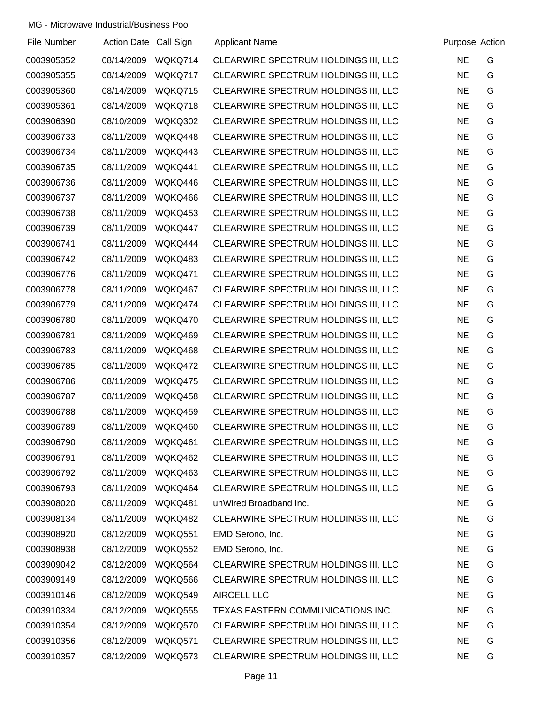| File Number | Action Date Call Sign |                | <b>Applicant Name</b>                | Purpose Action |   |
|-------------|-----------------------|----------------|--------------------------------------|----------------|---|
| 0003905352  | 08/14/2009            | WQKQ714        | CLEARWIRE SPECTRUM HOLDINGS III, LLC | <b>NE</b>      | G |
| 0003905355  | 08/14/2009            | WQKQ717        | CLEARWIRE SPECTRUM HOLDINGS III, LLC | <b>NE</b>      | G |
| 0003905360  | 08/14/2009            | WQKQ715        | CLEARWIRE SPECTRUM HOLDINGS III, LLC | <b>NE</b>      | G |
| 0003905361  | 08/14/2009            | WQKQ718        | CLEARWIRE SPECTRUM HOLDINGS III, LLC | <b>NE</b>      | G |
| 0003906390  | 08/10/2009            | WQKQ302        | CLEARWIRE SPECTRUM HOLDINGS III, LLC | <b>NE</b>      | G |
| 0003906733  | 08/11/2009            | WQKQ448        | CLEARWIRE SPECTRUM HOLDINGS III, LLC | <b>NE</b>      | G |
| 0003906734  | 08/11/2009            | WQKQ443        | CLEARWIRE SPECTRUM HOLDINGS III, LLC | <b>NE</b>      | G |
| 0003906735  | 08/11/2009            | WQKQ441        | CLEARWIRE SPECTRUM HOLDINGS III, LLC | <b>NE</b>      | G |
| 0003906736  | 08/11/2009            | WQKQ446        | CLEARWIRE SPECTRUM HOLDINGS III, LLC | <b>NE</b>      | G |
| 0003906737  | 08/11/2009            | WQKQ466        | CLEARWIRE SPECTRUM HOLDINGS III, LLC | <b>NE</b>      | G |
| 0003906738  | 08/11/2009            | WQKQ453        | CLEARWIRE SPECTRUM HOLDINGS III, LLC | <b>NE</b>      | G |
| 0003906739  | 08/11/2009            | WQKQ447        | CLEARWIRE SPECTRUM HOLDINGS III, LLC | <b>NE</b>      | G |
| 0003906741  | 08/11/2009            | WQKQ444        | CLEARWIRE SPECTRUM HOLDINGS III, LLC | <b>NE</b>      | G |
| 0003906742  | 08/11/2009            | WQKQ483        | CLEARWIRE SPECTRUM HOLDINGS III, LLC | <b>NE</b>      | G |
| 0003906776  | 08/11/2009            | WQKQ471        | CLEARWIRE SPECTRUM HOLDINGS III, LLC | <b>NE</b>      | G |
| 0003906778  | 08/11/2009            | WQKQ467        | CLEARWIRE SPECTRUM HOLDINGS III, LLC | <b>NE</b>      | G |
| 0003906779  | 08/11/2009            | WQKQ474        | CLEARWIRE SPECTRUM HOLDINGS III, LLC | <b>NE</b>      | G |
| 0003906780  | 08/11/2009            | WQKQ470        | CLEARWIRE SPECTRUM HOLDINGS III, LLC | <b>NE</b>      | G |
| 0003906781  | 08/11/2009            | WQKQ469        | CLEARWIRE SPECTRUM HOLDINGS III, LLC | <b>NE</b>      | G |
| 0003906783  | 08/11/2009            | WQKQ468        | CLEARWIRE SPECTRUM HOLDINGS III, LLC | <b>NE</b>      | G |
| 0003906785  | 08/11/2009            | WQKQ472        | CLEARWIRE SPECTRUM HOLDINGS III, LLC | <b>NE</b>      | G |
| 0003906786  | 08/11/2009            | WQKQ475        | CLEARWIRE SPECTRUM HOLDINGS III, LLC | <b>NE</b>      | G |
| 0003906787  | 08/11/2009            | WQKQ458        | CLEARWIRE SPECTRUM HOLDINGS III, LLC | <b>NE</b>      | G |
| 0003906788  | 08/11/2009            | WQKQ459        | CLEARWIRE SPECTRUM HOLDINGS III, LLC | <b>NE</b>      | G |
| 0003906789  | 08/11/2009            | WQKQ460        | CLEARWIRE SPECTRUM HOLDINGS III, LLC | <b>NE</b>      | G |
| 0003906790  | 08/11/2009            | WQKQ461        | CLEARWIRE SPECTRUM HOLDINGS III, LLC | <b>NE</b>      | G |
| 0003906791  | 08/11/2009            | WQKQ462        | CLEARWIRE SPECTRUM HOLDINGS III, LLC | <b>NE</b>      | G |
| 0003906792  | 08/11/2009            | WQKQ463        | CLEARWIRE SPECTRUM HOLDINGS III, LLC | <b>NE</b>      | G |
| 0003906793  | 08/11/2009            | WQKQ464        | CLEARWIRE SPECTRUM HOLDINGS III, LLC | <b>NE</b>      | G |
| 0003908020  | 08/11/2009            | WQKQ481        | unWired Broadband Inc.               | <b>NE</b>      | G |
| 0003908134  | 08/11/2009            | WQKQ482        | CLEARWIRE SPECTRUM HOLDINGS III, LLC | <b>NE</b>      | G |
| 0003908920  | 08/12/2009            | WQKQ551        | EMD Serono, Inc.                     | <b>NE</b>      | G |
| 0003908938  | 08/12/2009            | <b>WQKQ552</b> | EMD Serono, Inc.                     | <b>NE</b>      | G |
| 0003909042  | 08/12/2009            | WQKQ564        | CLEARWIRE SPECTRUM HOLDINGS III, LLC | <b>NE</b>      | G |
| 0003909149  | 08/12/2009            | WQKQ566        | CLEARWIRE SPECTRUM HOLDINGS III, LLC | <b>NE</b>      | G |
| 0003910146  | 08/12/2009            | WQKQ549        | AIRCELL LLC                          | <b>NE</b>      | G |
| 0003910334  | 08/12/2009            | WQKQ555        | TEXAS EASTERN COMMUNICATIONS INC.    | <b>NE</b>      | G |
| 0003910354  | 08/12/2009            | WQKQ570        | CLEARWIRE SPECTRUM HOLDINGS III, LLC | <b>NE</b>      | G |
| 0003910356  | 08/12/2009            | WQKQ571        | CLEARWIRE SPECTRUM HOLDINGS III, LLC | <b>NE</b>      | G |
| 0003910357  | 08/12/2009            | WQKQ573        | CLEARWIRE SPECTRUM HOLDINGS III, LLC | <b>NE</b>      | G |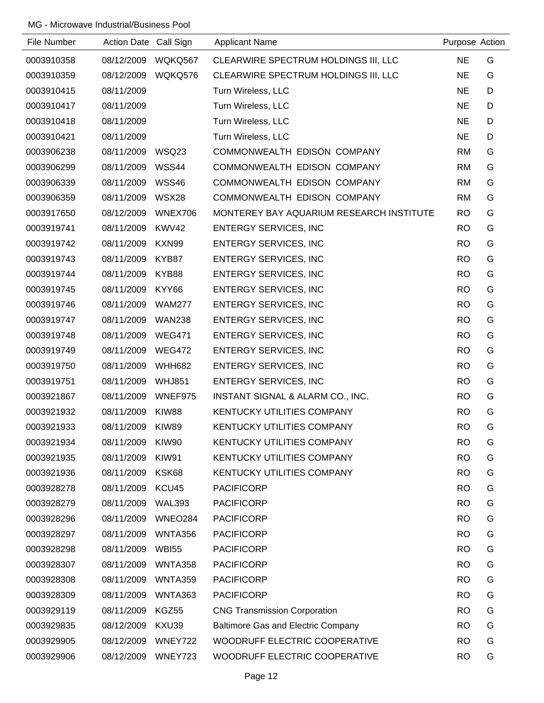| File Number | Action Date Call Sign |               | <b>Applicant Name</b>                    | Purpose Action |   |
|-------------|-----------------------|---------------|------------------------------------------|----------------|---|
| 0003910358  | 08/12/2009            | WQKQ567       | CLEARWIRE SPECTRUM HOLDINGS III, LLC     | <b>NE</b>      | G |
| 0003910359  | 08/12/2009            | WQKQ576       | CLEARWIRE SPECTRUM HOLDINGS III, LLC     | <b>NE</b>      | G |
| 0003910415  | 08/11/2009            |               | Turn Wireless, LLC                       | <b>NE</b>      | D |
| 0003910417  | 08/11/2009            |               | Turn Wireless, LLC                       | <b>NE</b>      | D |
| 0003910418  | 08/11/2009            |               | Turn Wireless, LLC                       | <b>NE</b>      | D |
| 0003910421  | 08/11/2009            |               | Turn Wireless, LLC                       | <b>NE</b>      | D |
| 0003906238  | 08/11/2009            | WSQ23         | COMMONWEALTH EDISON COMPANY              | <b>RM</b>      | G |
| 0003906299  | 08/11/2009            | WSS44         | COMMONWEALTH EDISON COMPANY              | <b>RM</b>      | G |
| 0003906339  | 08/11/2009            | WSS46         | COMMONWEALTH EDISON COMPANY              | <b>RM</b>      | G |
| 0003906359  | 08/11/2009            | <b>WSX28</b>  | COMMONWEALTH EDISON COMPANY              | <b>RM</b>      | G |
| 0003917650  | 08/12/2009            | WNEX706       | MONTEREY BAY AQUARIUM RESEARCH INSTITUTE | <b>RO</b>      | G |
| 0003919741  | 08/11/2009            | KWV42         | <b>ENTERGY SERVICES, INC</b>             | <b>RO</b>      | G |
| 0003919742  | 08/11/2009            | KXN99         | <b>ENTERGY SERVICES, INC</b>             | <b>RO</b>      | G |
| 0003919743  | 08/11/2009            | KYB87         | <b>ENTERGY SERVICES, INC</b>             | <b>RO</b>      | G |
| 0003919744  | 08/11/2009            | KYB88         | <b>ENTERGY SERVICES, INC</b>             | <b>RO</b>      | G |
| 0003919745  | 08/11/2009            | KYY66         | <b>ENTERGY SERVICES, INC</b>             | <b>RO</b>      | G |
| 0003919746  | 08/11/2009            | <b>WAM277</b> | <b>ENTERGY SERVICES, INC</b>             | <b>RO</b>      | G |
| 0003919747  | 08/11/2009            | <b>WAN238</b> | <b>ENTERGY SERVICES, INC</b>             | <b>RO</b>      | G |
| 0003919748  | 08/11/2009            | <b>WEG471</b> | <b>ENTERGY SERVICES, INC</b>             | <b>RO</b>      | G |
| 0003919749  | 08/11/2009            | <b>WEG472</b> | <b>ENTERGY SERVICES, INC</b>             | <b>RO</b>      | G |
| 0003919750  | 08/11/2009            | <b>WHH682</b> | <b>ENTERGY SERVICES, INC</b>             | <b>RO</b>      | G |
| 0003919751  | 08/11/2009            | <b>WHJ851</b> | <b>ENTERGY SERVICES, INC</b>             | <b>RO</b>      | G |
| 0003921867  | 08/11/2009            | WNEF975       | INSTANT SIGNAL & ALARM CO., INC.         | <b>RO</b>      | G |
| 0003921932  | 08/11/2009            | KIW88         | <b>KENTUCKY UTILITIES COMPANY</b>        | <b>RO</b>      | G |
| 0003921933  | 08/11/2009            | KIW89         | <b>KENTUCKY UTILITIES COMPANY</b>        | <b>RO</b>      | G |
| 0003921934  | 08/11/2009            | KIW90         | KENTUCKY UTILITIES COMPANY               | <b>RO</b>      | G |
| 0003921935  | 08/11/2009            | KIW91         | <b>KENTUCKY UTILITIES COMPANY</b>        | <b>RO</b>      | G |
| 0003921936  | 08/11/2009            | KSK68         | KENTUCKY UTILITIES COMPANY               | <b>RO</b>      | G |
| 0003928278  | 08/11/2009            | KCU45         | <b>PACIFICORP</b>                        | <b>RO</b>      | G |
| 0003928279  | 08/11/2009            | <b>WAL393</b> | <b>PACIFICORP</b>                        | <b>RO</b>      | G |
| 0003928296  | 08/11/2009            | WNEO284       | <b>PACIFICORP</b>                        | <b>RO</b>      | G |
| 0003928297  | 08/11/2009            | WNTA356       | <b>PACIFICORP</b>                        | <b>RO</b>      | G |
| 0003928298  | 08/11/2009            | <b>WBI55</b>  | <b>PACIFICORP</b>                        | <b>RO</b>      | G |
| 0003928307  | 08/11/2009            | WNTA358       | <b>PACIFICORP</b>                        | <b>RO</b>      | G |
| 0003928308  | 08/11/2009            | WNTA359       | <b>PACIFICORP</b>                        | <b>RO</b>      | G |
| 0003928309  | 08/11/2009            | WNTA363       | <b>PACIFICORP</b>                        | <b>RO</b>      | G |
| 0003929119  | 08/11/2009            | KGZ55         | <b>CNG Transmission Corporation</b>      | <b>RO</b>      | G |
| 0003929835  | 08/12/2009            | KXU39         | Baltimore Gas and Electric Company       | <b>RO</b>      | G |
| 0003929905  | 08/12/2009            | WNEY722       | WOODRUFF ELECTRIC COOPERATIVE            | <b>RO</b>      | G |
| 0003929906  | 08/12/2009            | WNEY723       | WOODRUFF ELECTRIC COOPERATIVE            | <b>RO</b>      | G |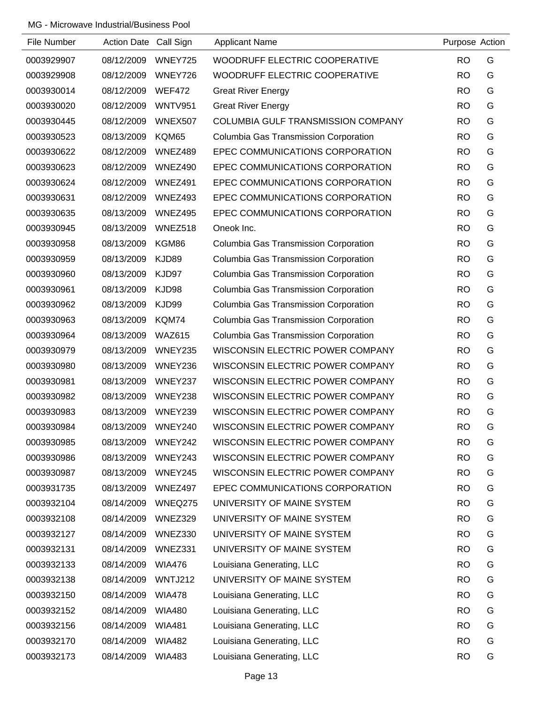| File Number | Action Date Call Sign |                | <b>Applicant Name</b>                     | Purpose Action |   |
|-------------|-----------------------|----------------|-------------------------------------------|----------------|---|
| 0003929907  | 08/12/2009            | WNEY725        | WOODRUFF ELECTRIC COOPERATIVE             | <b>RO</b>      | G |
| 0003929908  | 08/12/2009            | WNEY726        | WOODRUFF ELECTRIC COOPERATIVE             | <b>RO</b>      | G |
| 0003930014  | 08/12/2009            | <b>WEF472</b>  | <b>Great River Energy</b>                 | <b>RO</b>      | G |
| 0003930020  | 08/12/2009            | <b>WNTV951</b> | <b>Great River Energy</b>                 | <b>RO</b>      | G |
| 0003930445  | 08/12/2009            | WNEX507        | <b>COLUMBIA GULF TRANSMISSION COMPANY</b> | <b>RO</b>      | G |
| 0003930523  | 08/13/2009            | KQM65          | Columbia Gas Transmission Corporation     | <b>RO</b>      | G |
| 0003930622  | 08/12/2009            | WNEZ489        | EPEC COMMUNICATIONS CORPORATION           | <b>RO</b>      | G |
| 0003930623  | 08/12/2009            | WNEZ490        | EPEC COMMUNICATIONS CORPORATION           | <b>RO</b>      | G |
| 0003930624  | 08/12/2009            | WNEZ491        | EPEC COMMUNICATIONS CORPORATION           | <b>RO</b>      | G |
| 0003930631  | 08/12/2009            | WNEZ493        | EPEC COMMUNICATIONS CORPORATION           | <b>RO</b>      | G |
| 0003930635  | 08/13/2009            | WNEZ495        | EPEC COMMUNICATIONS CORPORATION           | <b>RO</b>      | G |
| 0003930945  | 08/13/2009            | WNEZ518        | Oneok Inc.                                | <b>RO</b>      | G |
| 0003930958  | 08/13/2009            | KGM86          | Columbia Gas Transmission Corporation     | <b>RO</b>      | G |
| 0003930959  | 08/13/2009            | KJD89          | Columbia Gas Transmission Corporation     | <b>RO</b>      | G |
| 0003930960  | 08/13/2009            | KJD97          | Columbia Gas Transmission Corporation     | <b>RO</b>      | G |
| 0003930961  | 08/13/2009            | KJD98          | Columbia Gas Transmission Corporation     | <b>RO</b>      | G |
| 0003930962  | 08/13/2009            | KJD99          | Columbia Gas Transmission Corporation     | <b>RO</b>      | G |
| 0003930963  | 08/13/2009            | KQM74          | Columbia Gas Transmission Corporation     | <b>RO</b>      | G |
| 0003930964  | 08/13/2009            | <b>WAZ615</b>  | Columbia Gas Transmission Corporation     | <b>RO</b>      | G |
| 0003930979  | 08/13/2009            | WNEY235        | WISCONSIN ELECTRIC POWER COMPANY          | <b>RO</b>      | G |
| 0003930980  | 08/13/2009            | WNEY236        | WISCONSIN ELECTRIC POWER COMPANY          | <b>RO</b>      | G |
| 0003930981  | 08/13/2009            | WNEY237        | WISCONSIN ELECTRIC POWER COMPANY          | <b>RO</b>      | G |
| 0003930982  | 08/13/2009            | WNEY238        | WISCONSIN ELECTRIC POWER COMPANY          | <b>RO</b>      | G |
| 0003930983  | 08/13/2009            | WNEY239        | WISCONSIN ELECTRIC POWER COMPANY          | <b>RO</b>      | G |
| 0003930984  | 08/13/2009            | WNEY240        | WISCONSIN ELECTRIC POWER COMPANY          | <b>RO</b>      | G |
| 0003930985  | 08/13/2009            | WNEY242        | WISCONSIN ELECTRIC POWER COMPANY          | <b>RO</b>      | G |
| 0003930986  | 08/13/2009            | WNEY243        | WISCONSIN ELECTRIC POWER COMPANY          | <b>RO</b>      | G |
| 0003930987  | 08/13/2009            | WNEY245        | WISCONSIN ELECTRIC POWER COMPANY          | <b>RO</b>      | G |
| 0003931735  | 08/13/2009            | WNEZ497        | EPEC COMMUNICATIONS CORPORATION           | <b>RO</b>      | G |
| 0003932104  | 08/14/2009            | WNEQ275        | UNIVERSITY OF MAINE SYSTEM                | <b>RO</b>      | G |
| 0003932108  | 08/14/2009            | WNEZ329        | UNIVERSITY OF MAINE SYSTEM                | <b>RO</b>      | G |
| 0003932127  | 08/14/2009            | WNEZ330        | UNIVERSITY OF MAINE SYSTEM                | <b>RO</b>      | G |
| 0003932131  | 08/14/2009            | WNEZ331        | UNIVERSITY OF MAINE SYSTEM                | <b>RO</b>      | G |
| 0003932133  | 08/14/2009            | <b>WIA476</b>  | Louisiana Generating, LLC                 | <b>RO</b>      | G |
| 0003932138  | 08/14/2009            | <b>WNTJ212</b> | UNIVERSITY OF MAINE SYSTEM                | <b>RO</b>      | G |
| 0003932150  | 08/14/2009            | <b>WIA478</b>  | Louisiana Generating, LLC                 | <b>RO</b>      | G |
| 0003932152  | 08/14/2009            | <b>WIA480</b>  | Louisiana Generating, LLC                 | <b>RO</b>      | G |
| 0003932156  | 08/14/2009            | <b>WIA481</b>  | Louisiana Generating, LLC                 | <b>RO</b>      | G |
| 0003932170  | 08/14/2009            | <b>WIA482</b>  | Louisiana Generating, LLC                 | <b>RO</b>      | G |
| 0003932173  | 08/14/2009            | <b>WIA483</b>  | Louisiana Generating, LLC                 | <b>RO</b>      | G |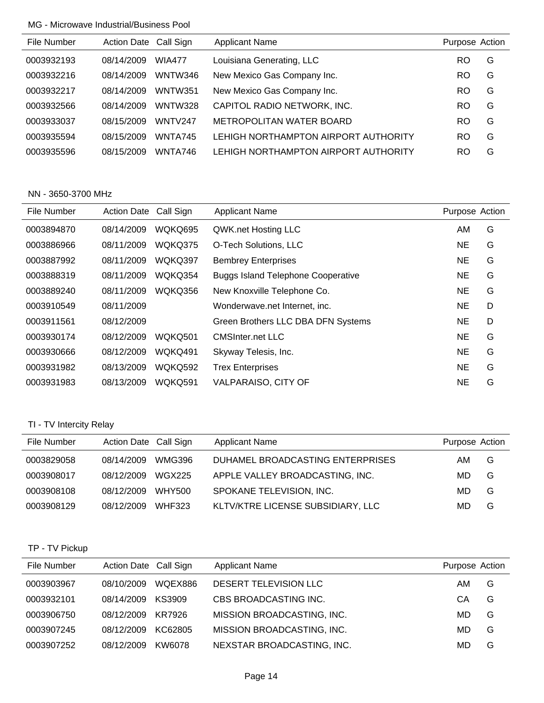| File Number | Action Date Call Sign |                | <b>Applicant Name</b>                | Purpose Action |   |
|-------------|-----------------------|----------------|--------------------------------------|----------------|---|
| 0003932193  | 08/14/2009            | <b>WIA477</b>  | Louisiana Generating, LLC            | RO             | G |
| 0003932216  | 08/14/2009            | <b>WNTW346</b> | New Mexico Gas Company Inc.          | RO             | G |
| 0003932217  | 08/14/2009            | <b>WNTW351</b> | New Mexico Gas Company Inc.          | RO             | G |
| 0003932566  | 08/14/2009            | <b>WNTW328</b> | CAPITOL RADIO NETWORK, INC.          | RO.            | G |
| 0003933037  | 08/15/2009            | WNTV247        | METROPOLITAN WATER BOARD             | <b>RO</b>      | G |
| 0003935594  | 08/15/2009            | WNTA745        | LEHIGH NORTHAMPTON AIRPORT AUTHORITY | RO             | G |
| 0003935596  | 08/15/2009            | WNTA746        | LEHIGH NORTHAMPTON AIRPORT AUTHORITY | RO             | G |

## NN - 3650-3700 MHz

| File Number | <b>Action Date</b> | Call Sign      | <b>Applicant Name</b>                     | Purpose Action |   |
|-------------|--------------------|----------------|-------------------------------------------|----------------|---|
| 0003894870  | 08/14/2009         | WQKQ695        | QWK.net Hosting LLC                       | AM             | G |
| 0003886966  | 08/11/2009         | WQKQ375        | O-Tech Solutions, LLC                     | NE             | G |
| 0003887992  | 08/11/2009         | WQKQ397        | <b>Bembrey Enterprises</b>                | NE             | G |
| 0003888319  | 08/11/2009         | WQKQ354        | <b>Buggs Island Telephone Cooperative</b> | NE             | G |
| 0003889240  | 08/11/2009         | WQKQ356        | New Knoxville Telephone Co.               | NE             | G |
| 0003910549  | 08/11/2009         |                | Wonderwave.net Internet, inc.             | <b>NE</b>      | D |
| 0003911561  | 08/12/2009         |                | Green Brothers LLC DBA DFN Systems        | NE.            | D |
| 0003930174  | 08/12/2009         | <b>WOKO501</b> | CMSInter net LLC                          | NE             | G |
| 0003930666  | 08/12/2009         | WQKQ491        | Skyway Telesis, Inc.                      | NE             | G |
| 0003931982  | 08/13/2009         | <b>WOKO592</b> | <b>Trex Enterprises</b>                   | NE             | G |
| 0003931983  | 08/13/2009         | <b>WOKO591</b> | <b>VALPARAISO, CITY OF</b>                | NE             | G |

# TI - TV Intercity Relay

| File Number | Action Date Call Sign |               | <b>Applicant Name</b>             | Purpose Action |   |
|-------------|-----------------------|---------------|-----------------------------------|----------------|---|
| 0003829058  | 08/14/2009            | WMG396        | DUHAMEL BROADCASTING ENTERPRISES  | AM             | G |
| 0003908017  | 08/12/2009            | WGX225        | APPLE VALLEY BROADCASTING, INC.   | MD.            | G |
| 0003908108  | 08/12/2009            | WHY500        | SPOKANE TELEVISION, INC.          | MD.            | G |
| 0003908129  | 08/12/2009            | <b>WHF323</b> | KLTV/KTRE LICENSE SUBSIDIARY, LLC | MD             | G |

# TP - TV Pickup

| File Number | Action Date Call Sign |         | <b>Applicant Name</b>      | Purpose Action |   |
|-------------|-----------------------|---------|----------------------------|----------------|---|
| 0003903967  | 08/10/2009            | WOEX886 | DESERT TELEVISION LLC      | AM             | G |
| 0003932101  | 08/14/2009            | KS3909  | CBS BROADCASTING INC.      | CА             | G |
| 0003906750  | 08/12/2009            | KR7926  | MISSION BROADCASTING, INC. | MD.            | G |
| 0003907245  | 08/12/2009            | KC62805 | MISSION BROADCASTING, INC. | MD.            | G |
| 0003907252  | 08/12/2009            | KW6078  | NEXSTAR BROADCASTING, INC. | MD             | G |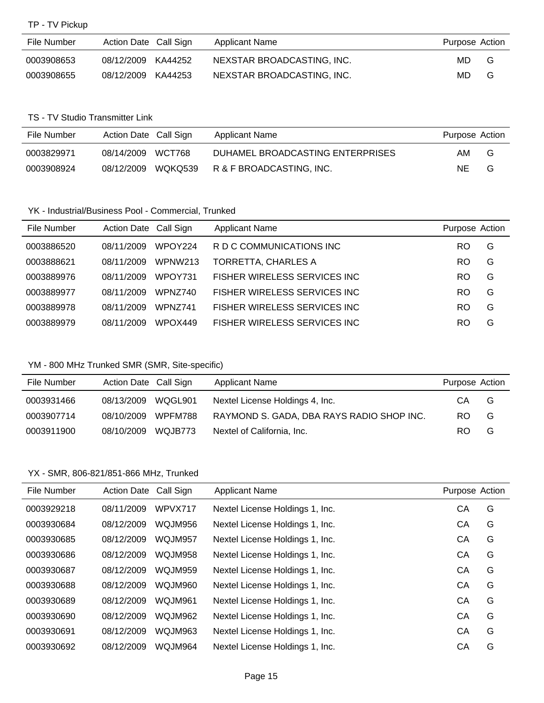TP - TV Pickup

| File Number | Action Date Call Sign |         | Applicant Name             | Purpose Action |   |
|-------------|-----------------------|---------|----------------------------|----------------|---|
| 0003908653  | 08/12/2009 KA44252    |         | NEXSTAR BROADCASTING, INC. | MD.            | G |
| 0003908655  | 08/12/2009            | KA44253 | NEXSTAR BROADCASTING, INC. | MD.            | G |

### TS - TV Studio Transmitter Link

| File Number | Action Date Call Sign |         | Applicant Name                   | Purpose Action |   |
|-------------|-----------------------|---------|----------------------------------|----------------|---|
| 0003829971  | 08/14/2009            | WCT768  | DUHAMEL BROADCASTING ENTERPRISES | AM.            | G |
| 0003908924  | 08/12/2009            | WQKQ539 | R & F BROADCASTING, INC.         | NE.            | G |

# YK - Industrial/Business Pool - Commercial, Trunked

| File Number | Action Date Call Sign |                     | <b>Applicant Name</b>               | Purpose Action |   |
|-------------|-----------------------|---------------------|-------------------------------------|----------------|---|
| 0003886520  | 08/11/2009            | WPOY <sub>224</sub> | R D C COMMUNICATIONS INC            | RO.            | G |
| 0003888621  | 08/11/2009            | WPNW213             | TORRETTA, CHARLES A                 | RO.            | G |
| 0003889976  | 08/11/2009            | WPOY731             | <b>FISHER WIRELESS SERVICES INC</b> | RO             | G |
| 0003889977  | 08/11/2009            | WPNZ740             | FISHER WIRELESS SERVICES INC        | RO             | G |
| 0003889978  | 08/11/2009            | <b>WPN7741</b>      | FISHER WIRELESS SERVICES INC.       | RO             | G |
| 0003889979  | 08/11/2009            | WPOX449             | <b>FISHER WIRELESS SERVICES INC</b> | RO             | G |

# YM - 800 MHz Trunked SMR (SMR, Site-specific)

| File Number | Action Date Call Sign |         | <b>Applicant Name</b>                     | Purpose Action |   |
|-------------|-----------------------|---------|-------------------------------------------|----------------|---|
| 0003931466  | 08/13/2009            | WQGL901 | Nextel License Holdings 4, Inc.           | CA             | G |
| 0003907714  | 08/10/2009            | WPFM788 | RAYMOND S. GADA, DBA RAYS RADIO SHOP INC. | RO.            | G |
| 0003911900  | 08/10/2009            | WQJB773 | Nextel of California, Inc.                | RO.            | G |

#### YX - SMR, 806-821/851-866 MHz, Trunked

| File Number | Action Date Call Sign |         | <b>Applicant Name</b>           | Purpose Action |   |
|-------------|-----------------------|---------|---------------------------------|----------------|---|
| 0003929218  | 08/11/2009            | WPVX717 | Nextel License Holdings 1, Inc. | СA             | G |
| 0003930684  | 08/12/2009            | WQJM956 | Nextel License Holdings 1, Inc. | CА             | G |
| 0003930685  | 08/12/2009            | WQJM957 | Nextel License Holdings 1, Inc. | CА             | G |
| 0003930686  | 08/12/2009            | WQJM958 | Nextel License Holdings 1, Inc. | CА             | G |
| 0003930687  | 08/12/2009            | WQJM959 | Nextel License Holdings 1, Inc. | CА             | G |
| 0003930688  | 08/12/2009            | WQJM960 | Nextel License Holdings 1, Inc. | СA             | G |
| 0003930689  | 08/12/2009            | WQJM961 | Nextel License Holdings 1, Inc. | CА             | G |
| 0003930690  | 08/12/2009            | WQJM962 | Nextel License Holdings 1, Inc. | CА             | G |
| 0003930691  | 08/12/2009            | WQJM963 | Nextel License Holdings 1, Inc. | CА             | G |
| 0003930692  | 08/12/2009            | WQJM964 | Nextel License Holdings 1, Inc. | CА             | G |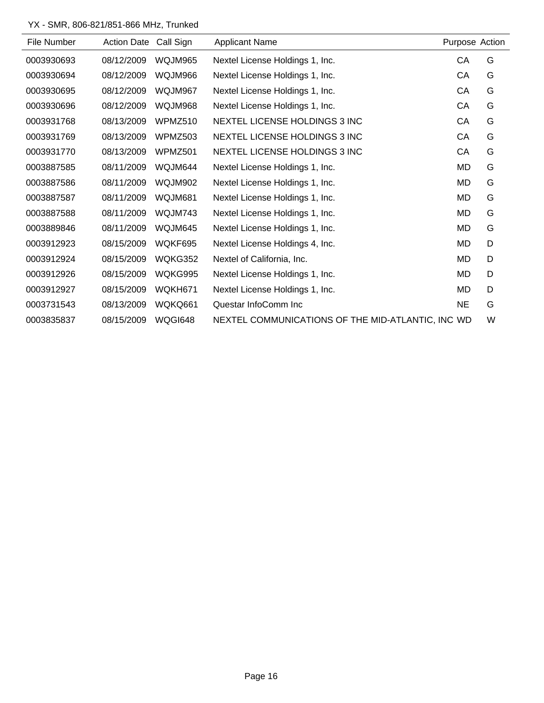# YX - SMR, 806-821/851-866 MHz, Trunked

| File Number | <b>Action Date</b> | Call Sign      | <b>Applicant Name</b>                             | Purpose Action |   |
|-------------|--------------------|----------------|---------------------------------------------------|----------------|---|
| 0003930693  | 08/12/2009         | WQJM965        | Nextel License Holdings 1, Inc.                   | CA             | G |
| 0003930694  | 08/12/2009         | WQJM966        | Nextel License Holdings 1, Inc.                   | CA             | G |
| 0003930695  | 08/12/2009         | WQJM967        | Nextel License Holdings 1, Inc.                   | CA             | G |
| 0003930696  | 08/12/2009         | WQJM968        | Nextel License Holdings 1, Inc.                   | CA             | G |
| 0003931768  | 08/13/2009         | WPMZ510        | NEXTEL LICENSE HOLDINGS 3 INC                     | CA             | G |
| 0003931769  | 08/13/2009         | WPMZ503        | NEXTEL LICENSE HOLDINGS 3 INC                     | CA             | G |
| 0003931770  | 08/13/2009         | WPMZ501        | NEXTEL LICENSE HOLDINGS 3 INC                     | CA             | G |
| 0003887585  | 08/11/2009         | WQJM644        | Nextel License Holdings 1, Inc.                   | MD             | G |
| 0003887586  | 08/11/2009         | WQJM902        | Nextel License Holdings 1, Inc.                   | MD             | G |
| 0003887587  | 08/11/2009         | WQJM681        | Nextel License Holdings 1, Inc.                   | MD             | G |
| 0003887588  | 08/11/2009         | WQJM743        | Nextel License Holdings 1, Inc.                   | MD             | G |
| 0003889846  | 08/11/2009         | WQJM645        | Nextel License Holdings 1, Inc.                   | MD             | G |
| 0003912923  | 08/15/2009         | WQKF695        | Nextel License Holdings 4, Inc.                   | MD             | D |
| 0003912924  | 08/15/2009         | WQKG352        | Nextel of California, Inc.                        | MD             | D |
| 0003912926  | 08/15/2009         | WQKG995        | Nextel License Holdings 1, Inc.                   | MD             | D |
| 0003912927  | 08/15/2009         | WQKH671        | Nextel License Holdings 1, Inc.                   | MD             | D |
| 0003731543  | 08/13/2009         | WQKQ661        | Questar InfoComm Inc                              | <b>NE</b>      | G |
| 0003835837  | 08/15/2009         | <b>WQGI648</b> | NEXTEL COMMUNICATIONS OF THE MID-ATLANTIC, INC WD |                | W |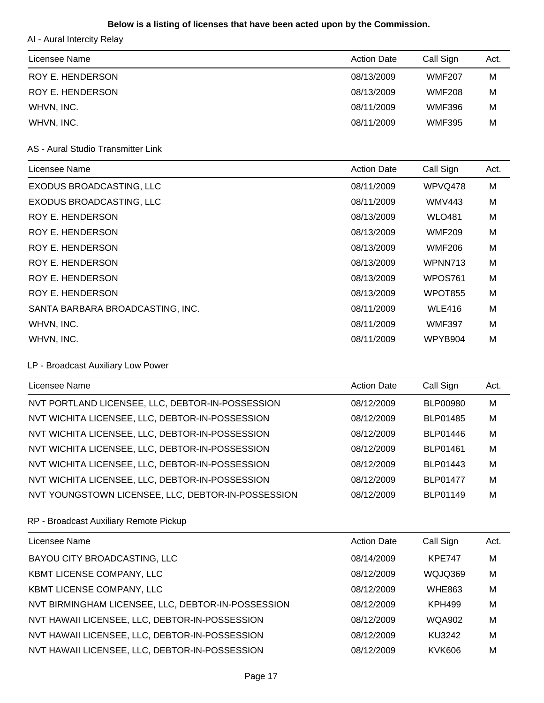# **Below is a listing of licenses that have been acted upon by the Commission.**

AI - Aural Intercity Relay

| Licensee Name    | <b>Action Date</b> | Call Sign     | Act. |
|------------------|--------------------|---------------|------|
| ROY E. HENDERSON | 08/13/2009         | <b>WMF207</b> | M    |
| ROY E. HENDERSON | 08/13/2009         | <b>WMF208</b> | м    |
| WHVN, INC.       | 08/11/2009         | <b>WMF396</b> | M    |
| WHVN, INC.       | 08/11/2009         | <b>WMF395</b> | M    |

#### AS - Aural Studio Transmitter Link

| Licensee Name                    | <b>Action Date</b> | Call Sign      | Act. |
|----------------------------------|--------------------|----------------|------|
| EXODUS BROADCASTING, LLC         | 08/11/2009         | WPVQ478        | M    |
| EXODUS BROADCASTING, LLC         | 08/11/2009         | <b>WMV443</b>  | M    |
| <b>ROY E. HENDERSON</b>          | 08/13/2009         | <b>WLO481</b>  | M    |
| <b>ROY E. HENDERSON</b>          | 08/13/2009         | <b>WMF209</b>  | M    |
| ROY E. HENDERSON                 | 08/13/2009         | <b>WMF206</b>  | M    |
| <b>ROY E. HENDERSON</b>          | 08/13/2009         | WPNN713        | M    |
| ROY E. HENDERSON                 | 08/13/2009         | WPOS761        | M    |
| ROY E. HENDERSON                 | 08/13/2009         | <b>WPOT855</b> | M    |
| SANTA BARBARA BROADCASTING, INC. | 08/11/2009         | <b>WLE416</b>  | M    |
| WHVN, INC.                       | 08/11/2009         | <b>WMF397</b>  | M    |
| WHVN, INC.                       | 08/11/2009         | WPYB904        | M    |

# LP - Broadcast Auxiliary Low Power

| Licensee Name                                      | <b>Action Date</b> | Call Sign       | Act. |
|----------------------------------------------------|--------------------|-----------------|------|
| NVT PORTLAND LICENSEE, LLC, DEBTOR-IN-POSSESSION   | 08/12/2009         | <b>BLP00980</b> | M    |
| NVT WICHITA LICENSEE, LLC, DEBTOR-IN-POSSESSION    | 08/12/2009         | BLP01485        | M    |
| NVT WICHITA LICENSEE, LLC, DEBTOR-IN-POSSESSION    | 08/12/2009         | BLP01446        | M    |
| NVT WICHITA LICENSEE, LLC, DEBTOR-IN-POSSESSION    | 08/12/2009         | <b>BLP01461</b> | M    |
| NVT WICHITA LICENSEE, LLC, DEBTOR-IN-POSSESSION    | 08/12/2009         | BLP01443        | M    |
| NVT WICHITA LICENSEE, LLC, DEBTOR-IN-POSSESSION    | 08/12/2009         | <b>BLP01477</b> | M    |
| NVT YOUNGSTOWN LICENSEE, LLC, DEBTOR-IN-POSSESSION | 08/12/2009         | BLP01149        | M    |

# RP - Broadcast Auxiliary Remote Pickup

| Licensee Name                                      | <b>Action Date</b> | Call Sign     | Act. |
|----------------------------------------------------|--------------------|---------------|------|
| BAYOU CITY BROADCASTING, LLC                       | 08/14/2009         | <b>KPE747</b> | M    |
| KBMT LICENSE COMPANY, LLC                          | 08/12/2009         | WQJQ369       | M    |
| KBMT LICENSE COMPANY, LLC                          | 08/12/2009         | <b>WHE863</b> | M    |
| NVT BIRMINGHAM LICENSEE, LLC, DEBTOR-IN-POSSESSION | 08/12/2009         | <b>KPH499</b> | M    |
| NVT HAWAII LICENSEE, LLC, DEBTOR-IN-POSSESSION     | 08/12/2009         | <b>WQA902</b> | M    |
| NVT HAWAII LICENSEE, LLC, DEBTOR-IN-POSSESSION     | 08/12/2009         | KU3242        | M    |
| NVT HAWAII LICENSEE, LLC, DEBTOR-IN-POSSESSION     | 08/12/2009         | KVK606        | M    |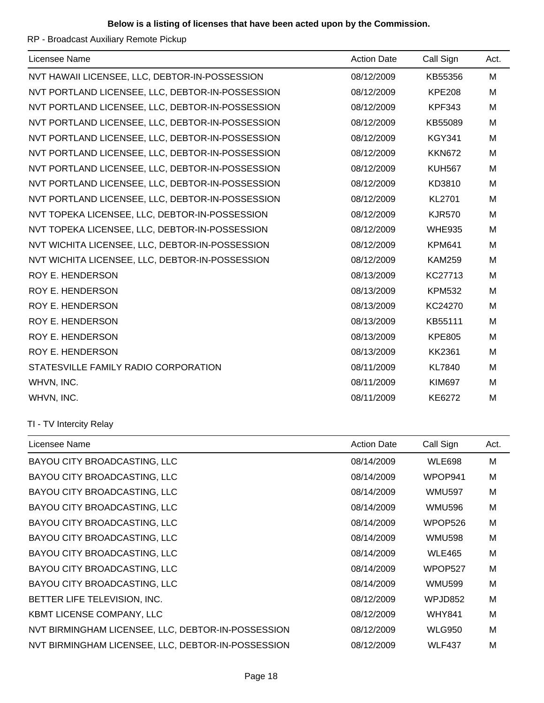## **Below is a listing of licenses that have been acted upon by the Commission.**

RP - Broadcast Auxiliary Remote Pickup

| Licensee Name                                    | <b>Action Date</b> | Call Sign     | Act. |
|--------------------------------------------------|--------------------|---------------|------|
| NVT HAWAII LICENSEE, LLC, DEBTOR-IN-POSSESSION   | 08/12/2009         | KB55356       | M    |
| NVT PORTLAND LICENSEE, LLC, DEBTOR-IN-POSSESSION | 08/12/2009         | <b>KPE208</b> | M    |
| NVT PORTLAND LICENSEE, LLC, DEBTOR-IN-POSSESSION | 08/12/2009         | <b>KPF343</b> | M    |
| NVT PORTLAND LICENSEE, LLC, DEBTOR-IN-POSSESSION | 08/12/2009         | KB55089       | M    |
| NVT PORTLAND LICENSEE, LLC, DEBTOR-IN-POSSESSION | 08/12/2009         | <b>KGY341</b> | M    |
| NVT PORTLAND LICENSEE, LLC, DEBTOR-IN-POSSESSION | 08/12/2009         | <b>KKN672</b> | м    |
| NVT PORTLAND LICENSEE, LLC, DEBTOR-IN-POSSESSION | 08/12/2009         | <b>KUH567</b> | M    |
| NVT PORTLAND LICENSEE, LLC, DEBTOR-IN-POSSESSION | 08/12/2009         | KD3810        | M    |
| NVT PORTLAND LICENSEE, LLC, DEBTOR-IN-POSSESSION | 08/12/2009         | <b>KL2701</b> | M    |
| NVT TOPEKA LICENSEE, LLC, DEBTOR-IN-POSSESSION   | 08/12/2009         | <b>KJR570</b> | M    |
| NVT TOPEKA LICENSEE, LLC, DEBTOR-IN-POSSESSION   | 08/12/2009         | <b>WHE935</b> | м    |
| NVT WICHITA LICENSEE, LLC, DEBTOR-IN-POSSESSION  | 08/12/2009         | <b>KPM641</b> | M    |
| NVT WICHITA LICENSEE, LLC, DEBTOR-IN-POSSESSION  | 08/12/2009         | <b>KAM259</b> | M    |
| <b>ROY E. HENDERSON</b>                          | 08/13/2009         | KC27713       | M    |
| ROY E. HENDERSON                                 | 08/13/2009         | <b>KPM532</b> | M    |
| <b>ROY E. HENDERSON</b>                          | 08/13/2009         | KC24270       | M    |
| <b>ROY E. HENDERSON</b>                          | 08/13/2009         | KB55111       | м    |
| ROY E. HENDERSON                                 | 08/13/2009         | <b>KPE805</b> | M    |
| <b>ROY E. HENDERSON</b>                          | 08/13/2009         | <b>KK2361</b> | M    |
| STATESVILLE FAMILY RADIO CORPORATION             | 08/11/2009         | <b>KL7840</b> | M    |
| WHVN, INC.                                       | 08/11/2009         | <b>KIM697</b> | M    |
| WHVN, INC.                                       | 08/11/2009         | KE6272        | M    |

## TI - TV Intercity Relay

| Licensee Name                                      | <b>Action Date</b> | Call Sign     | Act. |
|----------------------------------------------------|--------------------|---------------|------|
| BAYOU CITY BROADCASTING, LLC                       | 08/14/2009         | <b>WLE698</b> | M    |
| BAYOU CITY BROADCASTING, LLC                       | 08/14/2009         | WPOP941       | M    |
| BAYOU CITY BROADCASTING, LLC                       | 08/14/2009         | <b>WMU597</b> | M    |
| BAYOU CITY BROADCASTING, LLC                       | 08/14/2009         | <b>WMU596</b> | M    |
| BAYOU CITY BROADCASTING, LLC                       | 08/14/2009         | WPOP526       | M    |
| BAYOU CITY BROADCASTING, LLC                       | 08/14/2009         | <b>WMU598</b> | M    |
| BAYOU CITY BROADCASTING, LLC                       | 08/14/2009         | <b>WLE465</b> | M    |
| BAYOU CITY BROADCASTING, LLC                       | 08/14/2009         | WPOP527       | M    |
| BAYOU CITY BROADCASTING, LLC                       | 08/14/2009         | <b>WMU599</b> | M    |
| BETTER LIFE TELEVISION, INC.                       | 08/12/2009         | WPJD852       | M    |
| <b>KBMT LICENSE COMPANY, LLC</b>                   | 08/12/2009         | <b>WHY841</b> | M    |
| NVT BIRMINGHAM LICENSEE, LLC, DEBTOR-IN-POSSESSION | 08/12/2009         | <b>WLG950</b> | M    |
| NVT BIRMINGHAM LICENSEE, LLC, DEBTOR-IN-POSSESSION | 08/12/2009         | <b>WLF437</b> | M    |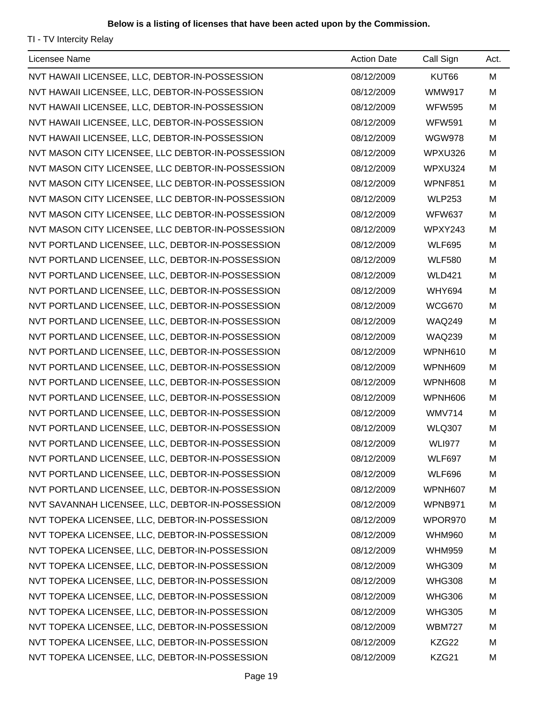TI - TV Intercity Relay

| Licensee Name                                     | <b>Action Date</b> | Call Sign     | Act. |
|---------------------------------------------------|--------------------|---------------|------|
| NVT HAWAII LICENSEE, LLC, DEBTOR-IN-POSSESSION    | 08/12/2009         | KUT66         | M    |
| NVT HAWAII LICENSEE, LLC, DEBTOR-IN-POSSESSION    | 08/12/2009         | <b>WMW917</b> | M    |
| NVT HAWAII LICENSEE, LLC, DEBTOR-IN-POSSESSION    | 08/12/2009         | <b>WFW595</b> | M    |
| NVT HAWAII LICENSEE, LLC, DEBTOR-IN-POSSESSION    | 08/12/2009         | <b>WFW591</b> | M    |
| NVT HAWAII LICENSEE, LLC, DEBTOR-IN-POSSESSION    | 08/12/2009         | <b>WGW978</b> | M    |
| NVT MASON CITY LICENSEE, LLC DEBTOR-IN-POSSESSION | 08/12/2009         | WPXU326       | M    |
| NVT MASON CITY LICENSEE, LLC DEBTOR-IN-POSSESSION | 08/12/2009         | WPXU324       | M    |
| NVT MASON CITY LICENSEE, LLC DEBTOR-IN-POSSESSION | 08/12/2009         | WPNF851       | M    |
| NVT MASON CITY LICENSEE, LLC DEBTOR-IN-POSSESSION | 08/12/2009         | <b>WLP253</b> | M    |
| NVT MASON CITY LICENSEE, LLC DEBTOR-IN-POSSESSION | 08/12/2009         | <b>WFW637</b> | M    |
| NVT MASON CITY LICENSEE, LLC DEBTOR-IN-POSSESSION | 08/12/2009         | WPXY243       | M    |
| NVT PORTLAND LICENSEE, LLC, DEBTOR-IN-POSSESSION  | 08/12/2009         | <b>WLF695</b> | M    |
| NVT PORTLAND LICENSEE, LLC, DEBTOR-IN-POSSESSION  | 08/12/2009         | <b>WLF580</b> | M    |
| NVT PORTLAND LICENSEE, LLC, DEBTOR-IN-POSSESSION  | 08/12/2009         | <b>WLD421</b> | M    |
| NVT PORTLAND LICENSEE, LLC, DEBTOR-IN-POSSESSION  | 08/12/2009         | <b>WHY694</b> | M    |
| NVT PORTLAND LICENSEE, LLC, DEBTOR-IN-POSSESSION  | 08/12/2009         | <b>WCG670</b> | M    |
| NVT PORTLAND LICENSEE, LLC, DEBTOR-IN-POSSESSION  | 08/12/2009         | <b>WAQ249</b> | M    |
| NVT PORTLAND LICENSEE, LLC, DEBTOR-IN-POSSESSION  | 08/12/2009         | <b>WAQ239</b> | M    |
| NVT PORTLAND LICENSEE, LLC, DEBTOR-IN-POSSESSION  | 08/12/2009         | WPNH610       | M    |
| NVT PORTLAND LICENSEE, LLC, DEBTOR-IN-POSSESSION  | 08/12/2009         | WPNH609       | M    |
| NVT PORTLAND LICENSEE, LLC, DEBTOR-IN-POSSESSION  | 08/12/2009         | WPNH608       | M    |
| NVT PORTLAND LICENSEE, LLC, DEBTOR-IN-POSSESSION  | 08/12/2009         | WPNH606       | M    |
| NVT PORTLAND LICENSEE, LLC, DEBTOR-IN-POSSESSION  | 08/12/2009         | <b>WMV714</b> | M    |
| NVT PORTLAND LICENSEE, LLC, DEBTOR-IN-POSSESSION  | 08/12/2009         | <b>WLQ307</b> | M    |
| NVT PORTLAND LICENSEE, LLC, DEBTOR-IN-POSSESSION  | 08/12/2009         | <b>WLI977</b> | M    |
| NVT PORTLAND LICENSEE, LLC, DEBTOR-IN-POSSESSION  | 08/12/2009         | <b>WLF697</b> | M    |
| NVT PORTLAND LICENSEE, LLC, DEBTOR-IN-POSSESSION  | 08/12/2009         | <b>WLF696</b> | M    |
| NVT PORTLAND LICENSEE, LLC, DEBTOR-IN-POSSESSION  | 08/12/2009         | WPNH607       | M    |
| NVT SAVANNAH LICENSEE, LLC, DEBTOR-IN-POSSESSION  | 08/12/2009         | WPNB971       | M    |
| NVT TOPEKA LICENSEE, LLC, DEBTOR-IN-POSSESSION    | 08/12/2009         | WPOR970       | M    |
| NVT TOPEKA LICENSEE, LLC, DEBTOR-IN-POSSESSION    | 08/12/2009         | <b>WHM960</b> | M    |
| NVT TOPEKA LICENSEE, LLC, DEBTOR-IN-POSSESSION    | 08/12/2009         | <b>WHM959</b> | M    |
| NVT TOPEKA LICENSEE, LLC, DEBTOR-IN-POSSESSION    | 08/12/2009         | <b>WHG309</b> | M    |
| NVT TOPEKA LICENSEE, LLC, DEBTOR-IN-POSSESSION    | 08/12/2009         | <b>WHG308</b> | M    |
| NVT TOPEKA LICENSEE, LLC, DEBTOR-IN-POSSESSION    | 08/12/2009         | <b>WHG306</b> | M    |
| NVT TOPEKA LICENSEE, LLC, DEBTOR-IN-POSSESSION    | 08/12/2009         | <b>WHG305</b> | M    |
| NVT TOPEKA LICENSEE, LLC, DEBTOR-IN-POSSESSION    | 08/12/2009         | <b>WBM727</b> | M    |
| NVT TOPEKA LICENSEE, LLC, DEBTOR-IN-POSSESSION    | 08/12/2009         | KZG22         | M    |
| NVT TOPEKA LICENSEE, LLC, DEBTOR-IN-POSSESSION    | 08/12/2009         | KZG21         | M    |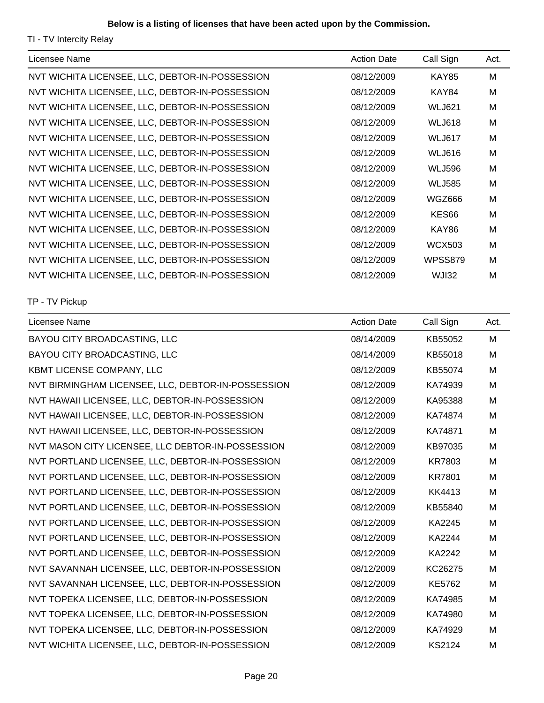## **Below is a listing of licenses that have been acted upon by the Commission.**

TI - TV Intercity Relay

| Licensee Name                                   | <b>Action Date</b> | Call Sign     | Act. |
|-------------------------------------------------|--------------------|---------------|------|
| NVT WICHITA LICENSEE, LLC, DEBTOR-IN-POSSESSION | 08/12/2009         | <b>KAY85</b>  | M    |
| NVT WICHITA LICENSEE, LLC, DEBTOR-IN-POSSESSION | 08/12/2009         | KAY84         | M    |
| NVT WICHITA LICENSEE, LLC, DEBTOR-IN-POSSESSION | 08/12/2009         | <b>WLJ621</b> | M    |
| NVT WICHITA LICENSEE, LLC, DEBTOR-IN-POSSESSION | 08/12/2009         | <b>WLJ618</b> | M    |
| NVT WICHITA LICENSEE, LLC, DEBTOR-IN-POSSESSION | 08/12/2009         | <b>WLJ617</b> | M    |
| NVT WICHITA LICENSEE, LLC, DEBTOR-IN-POSSESSION | 08/12/2009         | <b>WLJ616</b> | M    |
| NVT WICHITA LICENSEE, LLC, DEBTOR-IN-POSSESSION | 08/12/2009         | <b>WLJ596</b> | M    |
| NVT WICHITA LICENSEE, LLC, DEBTOR-IN-POSSESSION | 08/12/2009         | <b>WLJ585</b> | M    |
| NVT WICHITA LICENSEE, LLC, DEBTOR-IN-POSSESSION | 08/12/2009         | WGZ666        | M    |
| NVT WICHITA LICENSEE, LLC, DEBTOR-IN-POSSESSION | 08/12/2009         | KES66         | M    |
| NVT WICHITA LICENSEE, LLC, DEBTOR-IN-POSSESSION | 08/12/2009         | KAY86         | M    |
| NVT WICHITA LICENSEE, LLC, DEBTOR-IN-POSSESSION | 08/12/2009         | <b>WCX503</b> | M    |
| NVT WICHITA LICENSEE, LLC, DEBTOR-IN-POSSESSION | 08/12/2009         | WPSS879       | M    |
| NVT WICHITA LICENSEE, LLC, DEBTOR-IN-POSSESSION | 08/12/2009         | WJI32         | M    |

TP - TV Pickup

| Licensee Name                                      | <b>Action Date</b> | Call Sign     | Act. |
|----------------------------------------------------|--------------------|---------------|------|
| BAYOU CITY BROADCASTING, LLC                       | 08/14/2009         | KB55052       | M    |
| BAYOU CITY BROADCASTING, LLC                       | 08/14/2009         | KB55018       | M    |
| KBMT LICENSE COMPANY, LLC                          | 08/12/2009         | KB55074       | M    |
| NVT BIRMINGHAM LICENSEE, LLC, DEBTOR-IN-POSSESSION | 08/12/2009         | KA74939       | M    |
| NVT HAWAII LICENSEE, LLC, DEBTOR-IN-POSSESSION     | 08/12/2009         | KA95388       | M    |
| NVT HAWAII LICENSEE, LLC, DEBTOR-IN-POSSESSION     | 08/12/2009         | KA74874       | M    |
| NVT HAWAII LICENSEE, LLC, DEBTOR-IN-POSSESSION     | 08/12/2009         | KA74871       | M    |
| NVT MASON CITY LICENSEE, LLC DEBTOR-IN-POSSESSION  | 08/12/2009         | KB97035       | M    |
| NVT PORTLAND LICENSEE, LLC, DEBTOR-IN-POSSESSION   | 08/12/2009         | <b>KR7803</b> | M    |
| NVT PORTLAND LICENSEE, LLC, DEBTOR-IN-POSSESSION   | 08/12/2009         | <b>KR7801</b> | M    |
| NVT PORTLAND LICENSEE, LLC, DEBTOR-IN-POSSESSION   | 08/12/2009         | KK4413        | M    |
| NVT PORTLAND LICENSEE, LLC, DEBTOR-IN-POSSESSION   | 08/12/2009         | KB55840       | M    |
| NVT PORTLAND LICENSEE, LLC, DEBTOR-IN-POSSESSION   | 08/12/2009         | KA2245        | M    |
| NVT PORTLAND LICENSEE, LLC, DEBTOR-IN-POSSESSION   | 08/12/2009         | KA2244        | M    |
| NVT PORTLAND LICENSEE, LLC, DEBTOR-IN-POSSESSION   | 08/12/2009         | KA2242        | M    |
| NVT SAVANNAH LICENSEE, LLC, DEBTOR-IN-POSSESSION   | 08/12/2009         | KC26275       | M    |
| NVT SAVANNAH LICENSEE, LLC, DEBTOR-IN-POSSESSION   | 08/12/2009         | <b>KE5762</b> | M    |
| NVT TOPEKA LICENSEE, LLC, DEBTOR-IN-POSSESSION     | 08/12/2009         | KA74985       | M    |
| NVT TOPEKA LICENSEE, LLC, DEBTOR-IN-POSSESSION     | 08/12/2009         | KA74980       | M    |
| NVT TOPEKA LICENSEE, LLC, DEBTOR-IN-POSSESSION     | 08/12/2009         | KA74929       | M    |
| NVT WICHITA LICENSEE, LLC, DEBTOR-IN-POSSESSION    | 08/12/2009         | <b>KS2124</b> | M    |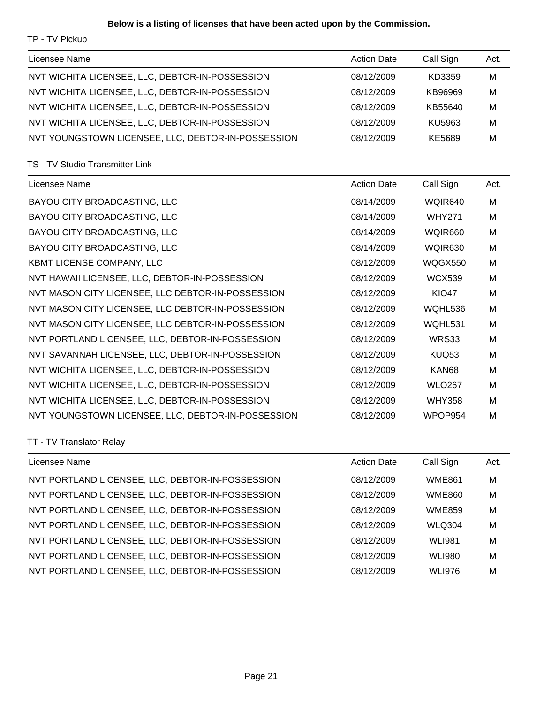# **Below is a listing of licenses that have been acted upon by the Commission.**

TP - TV Pickup

| Licensee Name                                      | <b>Action Date</b> | Call Sign | Act. |
|----------------------------------------------------|--------------------|-----------|------|
| NVT WICHITA LICENSEE, LLC, DEBTOR-IN-POSSESSION    | 08/12/2009         | KD3359    | M    |
| NVT WICHITA LICENSEE, LLC, DEBTOR-IN-POSSESSION    | 08/12/2009         | KB96969   | M    |
| NVT WICHITA LICENSEE, LLC, DEBTOR-IN-POSSESSION    | 08/12/2009         | KB55640   | M    |
| NVT WICHITA LICENSEE, LLC, DEBTOR-IN-POSSESSION    | 08/12/2009         | KU5963    | M    |
| NVT YOUNGSTOWN LICENSEE, LLC, DEBTOR-IN-POSSESSION | 08/12/2009         | KE5689    | M    |

#### TS - TV Studio Transmitter Link

| Licensee Name                                      | <b>Action Date</b> | Call Sign     | Act. |
|----------------------------------------------------|--------------------|---------------|------|
| BAYOU CITY BROADCASTING, LLC                       | 08/14/2009         | WQIR640       | M    |
| BAYOU CITY BROADCASTING, LLC                       | 08/14/2009         | <b>WHY271</b> | M    |
| BAYOU CITY BROADCASTING, LLC                       | 08/14/2009         | WQIR660       | M    |
| BAYOU CITY BROADCASTING, LLC                       | 08/14/2009         | WQIR630       | M    |
| KBMT LICENSE COMPANY, LLC                          | 08/12/2009         | WQGX550       | M    |
| NVT HAWAII LICENSEE, LLC, DEBTOR-IN-POSSESSION     | 08/12/2009         | <b>WCX539</b> | M    |
| NVT MASON CITY LICENSEE, LLC DEBTOR-IN-POSSESSION  | 08/12/2009         | <b>KIO47</b>  | M    |
| NVT MASON CITY LICENSEE, LLC DEBTOR-IN-POSSESSION  | 08/12/2009         | WQHL536       | M    |
| NVT MASON CITY LICENSEE, LLC DEBTOR-IN-POSSESSION  | 08/12/2009         | WQHL531       | M    |
| NVT PORTLAND LICENSEE, LLC, DEBTOR-IN-POSSESSION   | 08/12/2009         | WRS33         | M    |
| NVT SAVANNAH LICENSEE, LLC, DEBTOR-IN-POSSESSION   | 08/12/2009         | KUQ53         | M    |
| NVT WICHITA LICENSEE, LLC, DEBTOR-IN-POSSESSION    | 08/12/2009         | KAN68         | M    |
| NVT WICHITA LICENSEE, LLC, DEBTOR-IN-POSSESSION    | 08/12/2009         | <b>WLO267</b> | м    |
| NVT WICHITA LICENSEE, LLC, DEBTOR-IN-POSSESSION    | 08/12/2009         | <b>WHY358</b> | M    |
| NVT YOUNGSTOWN LICENSEE, LLC, DEBTOR-IN-POSSESSION | 08/12/2009         | WPOP954       | M    |

# TT - TV Translator Relay

| Licensee Name                                    | <b>Action Date</b> | Call Sign     | Act. |
|--------------------------------------------------|--------------------|---------------|------|
| NVT PORTLAND LICENSEE, LLC, DEBTOR-IN-POSSESSION | 08/12/2009         | <b>WME861</b> | м    |
| NVT PORTLAND LICENSEE, LLC, DEBTOR-IN-POSSESSION | 08/12/2009         | <b>WME860</b> | M    |
| NVT PORTLAND LICENSEE, LLC, DEBTOR-IN-POSSESSION | 08/12/2009         | <b>WME859</b> | M    |
| NVT PORTLAND LICENSEE, LLC, DEBTOR-IN-POSSESSION | 08/12/2009         | <b>WLQ304</b> | M    |
| NVT PORTLAND LICENSEE, LLC, DEBTOR-IN-POSSESSION | 08/12/2009         | <b>WLI981</b> | M    |
| NVT PORTLAND LICENSEE, LLC, DEBTOR-IN-POSSESSION | 08/12/2009         | <b>WLI980</b> | M    |
| NVT PORTLAND LICENSEE, LLC, DEBTOR-IN-POSSESSION | 08/12/2009         | <b>WLI976</b> | м    |